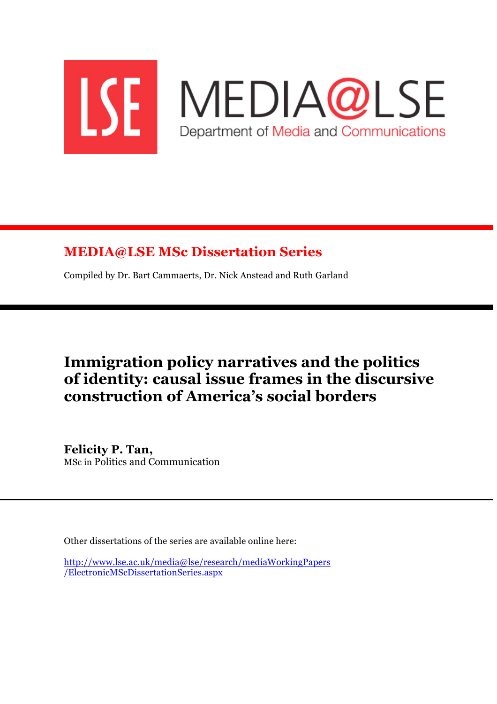

## **MEDIA@LSE MSc Dissertation Series**

Compiled by Dr. Bart Cammaerts, Dr. Nick Anstead and Ruth Garland

# **Immigration policy narratives and the politics of identity: causal issue frames in the discursive construction of America's social borders**

**Felicity P. Tan,** MSc in Politics and Communication

Other dissertations of the series are available online here:

http://www.lse.ac.uk/media@lse/research/mediaWorkingPapers /ElectronicMScDissertationSeries.aspx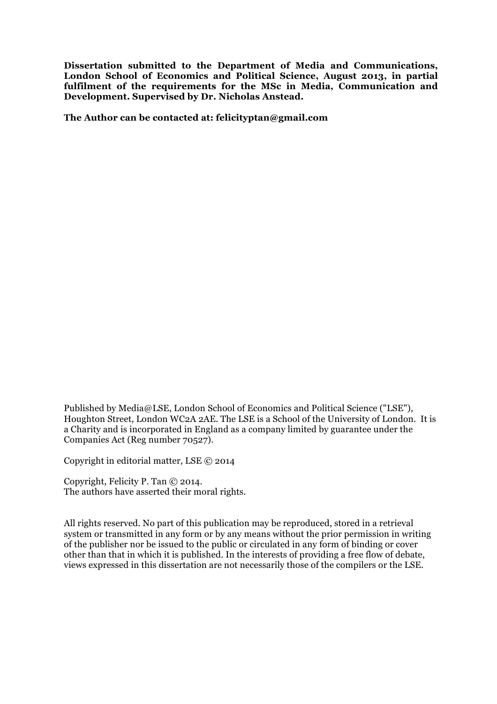**Dissertation submitted to the Department of Media and Communications, London School of Economics and Political Science, August 2013, in partial fulfilment of the requirements for the MSc in Media, Communication and Development. Supervised by Dr. Nicholas Anstead.** 

**The Author can be contacted at: felicityptan@gmail.com**

Published by Media@LSE, London School of Economics and Political Science ("LSE"), Houghton Street, London WC2A 2AE. The LSE is a School of the University of London. It is a Charity and is incorporated in England as a company limited by guarantee under the Companies Act (Reg number 70527).

Copyright in editorial matter, LSE © 2014

Copyright, Felicity P. Tan © 2014. The authors have asserted their moral rights.

All rights reserved. No part of this publication may be reproduced, stored in a retrieval system or transmitted in any form or by any means without the prior permission in writing of the publisher nor be issued to the public or circulated in any form of binding or cover other than that in which it is published. In the interests of providing a free flow of debate, views expressed in this dissertation are not necessarily those of the compilers or the LSE.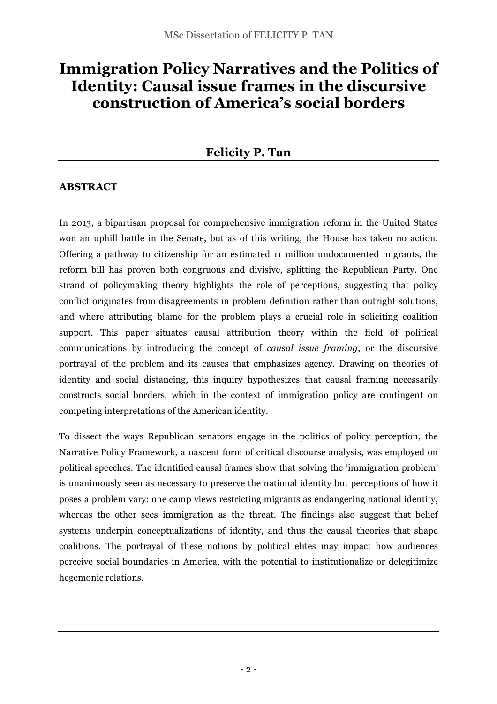# **Immigration Policy Narratives and the Politics of Identity: Causal issue frames in the discursive construction of America's social borders**

## **Felicity P. Tan**

## **ABSTRACT**

In 2013, a bipartisan proposal for comprehensive immigration reform in the United States won an uphill battle in the Senate, but as of this writing, the House has taken no action. Offering a pathway to citizenship for an estimated 11 million undocumented migrants, the reform bill has proven both congruous and divisive, splitting the Republican Party. One strand of policymaking theory highlights the role of perceptions, suggesting that policy conflict originates from disagreements in problem definition rather than outright solutions, and where attributing blame for the problem plays a crucial role in soliciting coalition support. This paper situates causal attribution theory within the field of political communications by introducing the concept of *causal issue framing*, or the discursive portrayal of the problem and its causes that emphasizes agency. Drawing on theories of identity and social distancing, this inquiry hypothesizes that causal framing necessarily constructs social borders, which in the context of immigration policy are contingent on competing interpretations of the American identity.

To dissect the ways Republican senators engage in the politics of policy perception, the Narrative Policy Framework, a nascent form of critical discourse analysis, was employed on political speeches. The identified causal frames show that solving the 'immigration problem' is unanimously seen as necessary to preserve the national identity but perceptions of how it poses a problem vary: one camp views restricting migrants as endangering national identity, whereas the other sees immigration as the threat. The findings also suggest that belief systems underpin conceptualizations of identity, and thus the causal theories that shape coalitions. The portrayal of these notions by political elites may impact how audiences perceive social boundaries in America, with the potential to institutionalize or delegitimize hegemonic relations.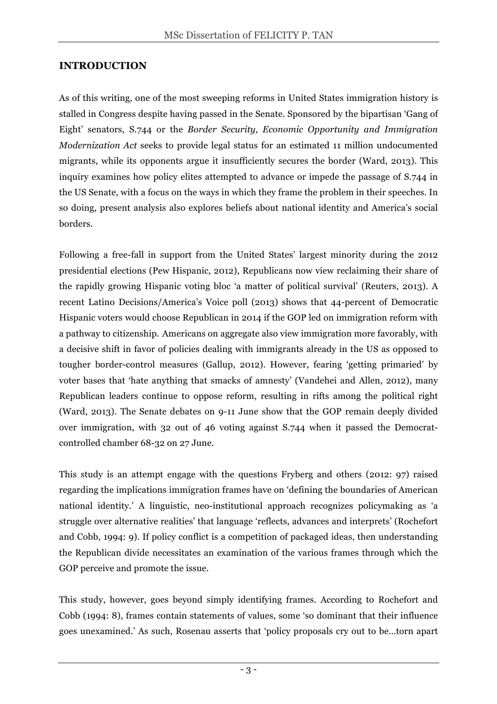## **INTRODUCTION**

As of this writing, one of the most sweeping reforms in United States immigration history is stalled in Congress despite having passed in the Senate. Sponsored by the bipartisan 'Gang of Eight' senators, S.744 or the *Border Security, Economic Opportunity and Immigration Modernization Act* seeks to provide legal status for an estimated 11 million undocumented migrants, while its opponents argue it insufficiently secures the border (Ward, 2013). This inquiry examines how policy elites attempted to advance or impede the passage of S.744 in the US Senate, with a focus on the ways in which they frame the problem in their speeches. In so doing, present analysis also explores beliefs about national identity and America's social borders.

Following a free-fall in support from the United States' largest minority during the 2012 presidential elections (Pew Hispanic, 2012), Republicans now view reclaiming their share of the rapidly growing Hispanic voting bloc 'a matter of political survival' (Reuters, 2013). A recent Latino Decisions/America's Voice poll (2013) shows that 44-percent of Democratic Hispanic voters would choose Republican in 2014 if the GOP led on immigration reform with a pathway to citizenship. Americans on aggregate also view immigration more favorably, with a decisive shift in favor of policies dealing with immigrants already in the US as opposed to tougher border-control measures (Gallup, 2012). However, fearing 'getting primaried' by voter bases that 'hate anything that smacks of amnesty' (Vandehei and Allen, 2012), many Republican leaders continue to oppose reform, resulting in rifts among the political right (Ward, 2013). The Senate debates on 9-11 June show that the GOP remain deeply divided over immigration, with 32 out of 46 voting against S.744 when it passed the Democratcontrolled chamber 68-32 on 27 June.

This study is an attempt engage with the questions Fryberg and others (2012: 97) raised regarding the implications immigration frames have on 'defining the boundaries of American national identity.' A linguistic, neo-institutional approach recognizes policymaking as 'a struggle over alternative realities' that language 'reflects, advances and interprets' (Rochefort and Cobb, 1994: 9). If policy conflict is a competition of packaged ideas, then understanding the Republican divide necessitates an examination of the various frames through which the GOP perceive and promote the issue.

This study, however, goes beyond simply identifying frames. According to Rochefort and Cobb (1994: 8), frames contain statements of values, some 'so dominant that their influence goes unexamined.' As such, Rosenau asserts that 'policy proposals cry out to be…torn apart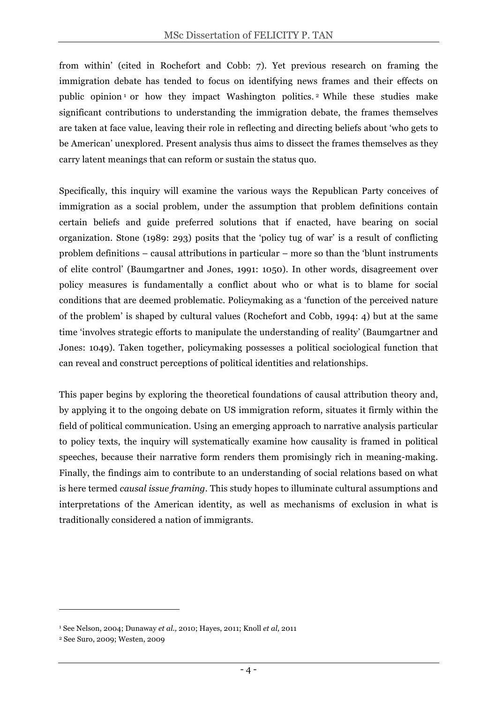from within' (cited in Rochefort and Cobb: 7). Yet previous research on framing the immigration debate has tended to focus on identifying news frames and their effects on public opinion  $\frac{1}{1}$  or how they impact Washington politics. <sup>2</sup> While these studies make significant contributions to understanding the immigration debate, the frames themselves are taken at face value, leaving their role in reflecting and directing beliefs about 'who gets to be American' unexplored. Present analysis thus aims to dissect the frames themselves as they carry latent meanings that can reform or sustain the status quo.

Specifically, this inquiry will examine the various ways the Republican Party conceives of immigration as a social problem, under the assumption that problem definitions contain certain beliefs and guide preferred solutions that if enacted, have bearing on social organization. Stone (1989: 293) posits that the 'policy tug of war' is a result of conflicting problem definitions – causal attributions in particular – more so than the 'blunt instruments of elite control' (Baumgartner and Jones, 1991: 1050). In other words, disagreement over policy measures is fundamentally a conflict about who or what is to blame for social conditions that are deemed problematic. Policymaking as a 'function of the perceived nature of the problem' is shaped by cultural values (Rochefort and Cobb, 1994: 4) but at the same time 'involves strategic efforts to manipulate the understanding of reality' (Baumgartner and Jones: 1049). Taken together, policymaking possesses a political sociological function that can reveal and construct perceptions of political identities and relationships.

This paper begins by exploring the theoretical foundations of causal attribution theory and, by applying it to the ongoing debate on US immigration reform, situates it firmly within the field of political communication. Using an emerging approach to narrative analysis particular to policy texts, the inquiry will systematically examine how causality is framed in political speeches, because their narrative form renders them promisingly rich in meaning-making. Finally, the findings aim to contribute to an understanding of social relations based on what is here termed *causal issue framing*. This study hopes to illuminate cultural assumptions and interpretations of the American identity, as well as mechanisms of exclusion in what is traditionally considered a nation of immigrants.

 $\overline{a}$ 

<sup>1</sup> See Nelson, 2004; Dunaway *et al.,* 2010; Hayes, 2011; Knoll *et al,* 2011

<sup>2</sup> See Suro, 2009; Westen, 2009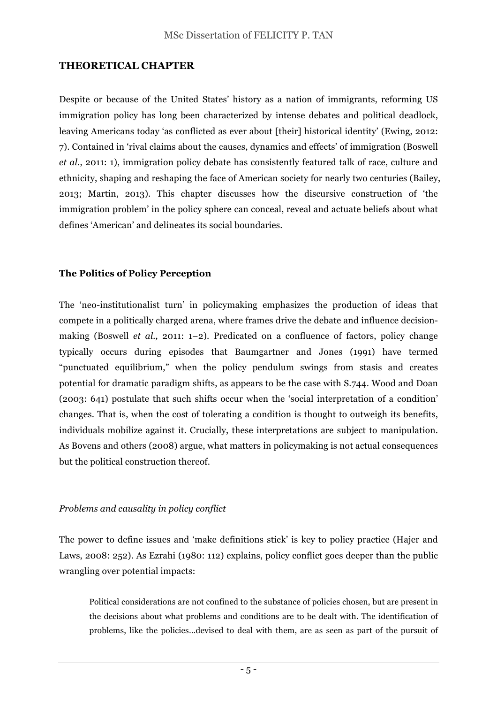## **THEORETICAL CHAPTER**

Despite or because of the United States' history as a nation of immigrants, reforming US immigration policy has long been characterized by intense debates and political deadlock, leaving Americans today 'as conflicted as ever about [their] historical identity' (Ewing, 2012: 7). Contained in 'rival claims about the causes, dynamics and effects' of immigration (Boswell *et al.*, 2011: 1), immigration policy debate has consistently featured talk of race, culture and ethnicity, shaping and reshaping the face of American society for nearly two centuries (Bailey, 2013; Martin, 2013). This chapter discusses how the discursive construction of 'the immigration problem' in the policy sphere can conceal, reveal and actuate beliefs about what defines 'American' and delineates its social boundaries.

## **The Politics of Policy Perception**

The 'neo-institutionalist turn' in policymaking emphasizes the production of ideas that compete in a politically charged arena, where frames drive the debate and influence decisionmaking (Boswell *et al.,* 2011: 1–2). Predicated on a confluence of factors, policy change typically occurs during episodes that Baumgartner and Jones (1991) have termed "punctuated equilibrium," when the policy pendulum swings from stasis and creates potential for dramatic paradigm shifts, as appears to be the case with S.744. Wood and Doan (2003: 641) postulate that such shifts occur when the 'social interpretation of a condition' changes. That is, when the cost of tolerating a condition is thought to outweigh its benefits, individuals mobilize against it. Crucially, these interpretations are subject to manipulation. As Bovens and others (2008) argue, what matters in policymaking is not actual consequences but the political construction thereof.

## *Problems and causality in policy conflict*

The power to define issues and 'make definitions stick' is key to policy practice (Hajer and Laws, 2008: 252). As Ezrahi (1980: 112) explains, policy conflict goes deeper than the public wrangling over potential impacts:

Political considerations are not confined to the substance of policies chosen, but are present in the decisions about what problems and conditions are to be dealt with. The identification of problems, like the policies…devised to deal with them, are as seen as part of the pursuit of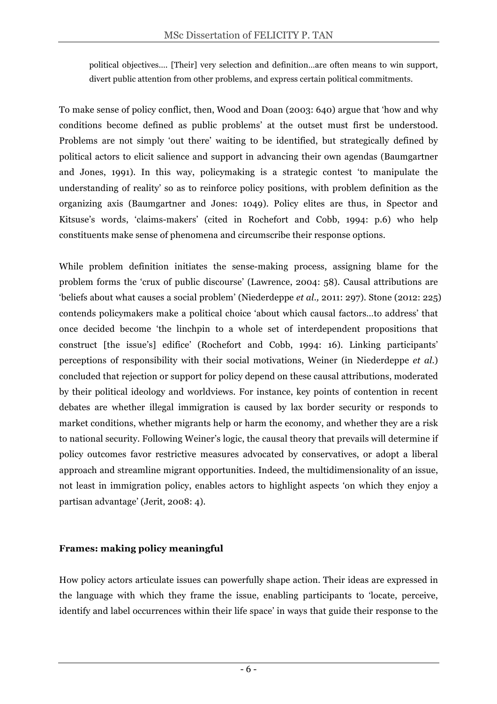political objectives…. [Their] very selection and definition…are often means to win support, divert public attention from other problems, and express certain political commitments.

To make sense of policy conflict, then, Wood and Doan (2003: 640) argue that 'how and why conditions become defined as public problems' at the outset must first be understood. Problems are not simply 'out there' waiting to be identified, but strategically defined by political actors to elicit salience and support in advancing their own agendas (Baumgartner and Jones, 1991). In this way, policymaking is a strategic contest 'to manipulate the understanding of reality' so as to reinforce policy positions, with problem definition as the organizing axis (Baumgartner and Jones: 1049). Policy elites are thus, in Spector and Kitsuse's words, 'claims-makers' (cited in Rochefort and Cobb, 1994: p.6) who help constituents make sense of phenomena and circumscribe their response options.

While problem definition initiates the sense-making process, assigning blame for the problem forms the 'crux of public discourse' (Lawrence, 2004: 58). Causal attributions are 'beliefs about what causes a social problem' (Niederdeppe *et al.,* 2011: 297). Stone (2012: 225) contends policymakers make a political choice 'about which causal factors…to address' that once decided become 'the linchpin to a whole set of interdependent propositions that construct [the issue's] edifice' (Rochefort and Cobb, 1994: 16). Linking participants' perceptions of responsibility with their social motivations, Weiner (in Niederdeppe *et al.*) concluded that rejection or support for policy depend on these causal attributions, moderated by their political ideology and worldviews. For instance, key points of contention in recent debates are whether illegal immigration is caused by lax border security or responds to market conditions, whether migrants help or harm the economy, and whether they are a risk to national security. Following Weiner's logic, the causal theory that prevails will determine if policy outcomes favor restrictive measures advocated by conservatives, or adopt a liberal approach and streamline migrant opportunities. Indeed, the multidimensionality of an issue, not least in immigration policy, enables actors to highlight aspects 'on which they enjoy a partisan advantage' (Jerit, 2008: 4).

## **Frames: making policy meaningful**

How policy actors articulate issues can powerfully shape action. Their ideas are expressed in the language with which they frame the issue, enabling participants to 'locate, perceive, identify and label occurrences within their life space' in ways that guide their response to the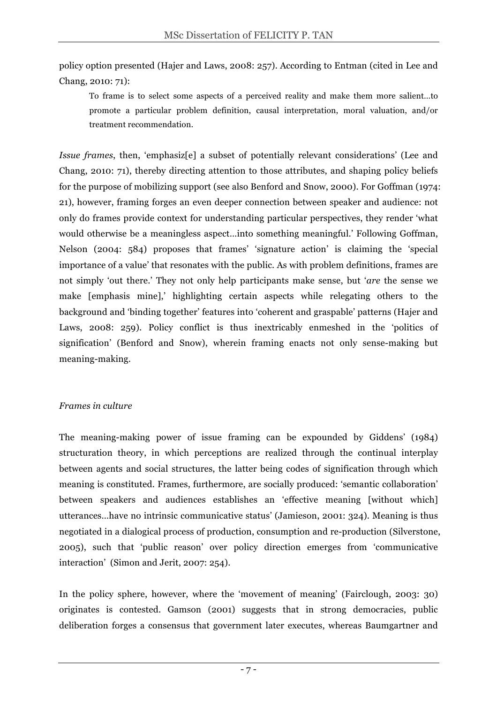policy option presented (Hajer and Laws, 2008: 257). According to Entman (cited in Lee and Chang, 2010: 71):

To frame is to select some aspects of a perceived reality and make them more salient…to promote a particular problem definition, causal interpretation, moral valuation, and/or treatment recommendation.

*Issue frames*, then, 'emphasiz<sup>[e]</sup> a subset of potentially relevant considerations' (Lee and Chang, 2010: 71), thereby directing attention to those attributes, and shaping policy beliefs for the purpose of mobilizing support (see also Benford and Snow, 2000). For Goffman (1974: 21), however, framing forges an even deeper connection between speaker and audience: not only do frames provide context for understanding particular perspectives, they render 'what would otherwise be a meaningless aspect…into something meaningful.' Following Goffman, Nelson (2004: 584) proposes that frames' 'signature action' is claiming the 'special importance of a value' that resonates with the public. As with problem definitions, frames are not simply 'out there.' They not only help participants make sense, but '*are* the sense we make [emphasis mine],' highlighting certain aspects while relegating others to the background and 'binding together' features into 'coherent and graspable' patterns (Hajer and Laws, 2008: 259). Policy conflict is thus inextricably enmeshed in the 'politics of signification' (Benford and Snow), wherein framing enacts not only sense-making but meaning-making.

## *Frames in culture*

The meaning-making power of issue framing can be expounded by Giddens' (1984) structuration theory, in which perceptions are realized through the continual interplay between agents and social structures, the latter being codes of signification through which meaning is constituted. Frames, furthermore, are socially produced: 'semantic collaboration' between speakers and audiences establishes an 'effective meaning [without which] utterances…have no intrinsic communicative status' (Jamieson, 2001: 324). Meaning is thus negotiated in a dialogical process of production, consumption and re-production (Silverstone, 2005), such that 'public reason' over policy direction emerges from 'communicative interaction' (Simon and Jerit, 2007: 254).

In the policy sphere, however, where the 'movement of meaning' (Fairclough, 2003: 30) originates is contested. Gamson (2001) suggests that in strong democracies, public deliberation forges a consensus that government later executes, whereas Baumgartner and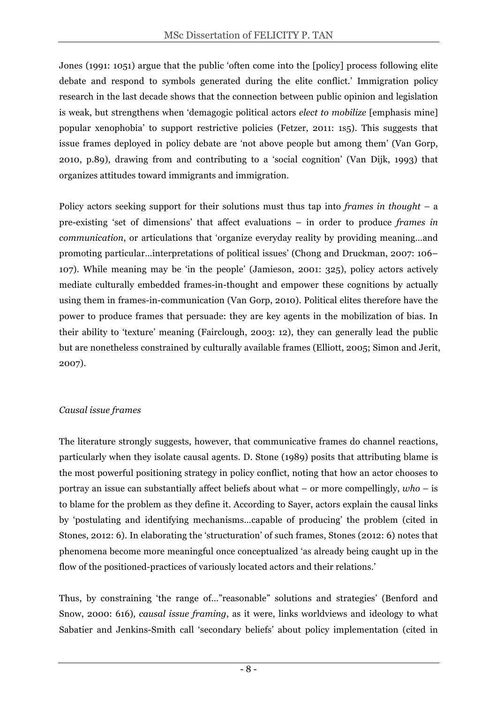Jones (1991: 1051) argue that the public 'often come into the [policy] process following elite debate and respond to symbols generated during the elite conflict.' Immigration policy research in the last decade shows that the connection between public opinion and legislation is weak, but strengthens when 'demagogic political actors *elect to mobilize* [emphasis mine] popular xenophobia' to support restrictive policies (Fetzer, 2011: 1s5). This suggests that issue frames deployed in policy debate are 'not above people but among them' (Van Gorp, 2010, p.89), drawing from and contributing to a 'social cognition' (Van Dijk, 1993) that organizes attitudes toward immigrants and immigration.

Policy actors seeking support for their solutions must thus tap into *frames in thought –* a pre-existing 'set of dimensions' that affect evaluations – in order to produce *frames in communication*, or articulations that 'organize everyday reality by providing meaning…and promoting particular…interpretations of political issues' (Chong and Druckman, 2007: 106– 107). While meaning may be 'in the people' (Jamieson, 2001: 325), policy actors actively mediate culturally embedded frames-in-thought and empower these cognitions by actually using them in frames-in-communication (Van Gorp, 2010). Political elites therefore have the power to produce frames that persuade: they are key agents in the mobilization of bias. In their ability to 'texture' meaning (Fairclough, 2003: 12), they can generally lead the public but are nonetheless constrained by culturally available frames (Elliott, 2005; Simon and Jerit, 2007).

## *Causal issue frames*

The literature strongly suggests, however, that communicative frames do channel reactions, particularly when they isolate causal agents. D. Stone (1989) posits that attributing blame is the most powerful positioning strategy in policy conflict, noting that how an actor chooses to portray an issue can substantially affect beliefs about what – or more compellingly, *who* – is to blame for the problem as they define it. According to Sayer, actors explain the causal links by 'postulating and identifying mechanisms…capable of producing' the problem (cited in Stones, 2012: 6). In elaborating the 'structuration' of such frames, Stones (2012: 6) notes that phenomena become more meaningful once conceptualized 'as already being caught up in the flow of the positioned-practices of variously located actors and their relations.'

Thus, by constraining 'the range of…"reasonable" solutions and strategies' (Benford and Snow, 2000: 616), *causal issue framing*, as it were, links worldviews and ideology to what Sabatier and Jenkins-Smith call 'secondary beliefs' about policy implementation (cited in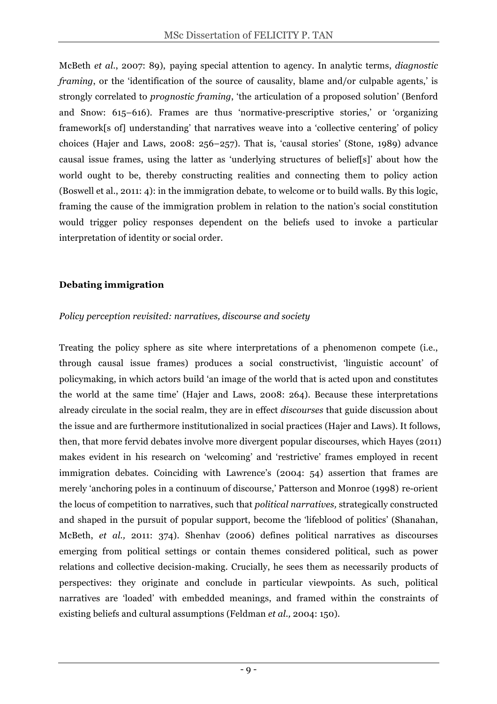McBeth *et al.*, 2007: 89), paying special attention to agency. In analytic terms, *diagnostic framing*, or the 'identification of the source of causality, blame and/or culpable agents,' is strongly correlated to *prognostic framing*, 'the articulation of a proposed solution' (Benford and Snow: 615–616). Frames are thus 'normative-prescriptive stories,' or 'organizing framework[s of] understanding' that narratives weave into a 'collective centering' of policy choices (Hajer and Laws, 2008: 256–257). That is, 'causal stories' (Stone, 1989) advance causal issue frames, using the latter as 'underlying structures of belief[s]' about how the world ought to be, thereby constructing realities and connecting them to policy action (Boswell et al., 2011: 4): in the immigration debate, to welcome or to build walls. By this logic, framing the cause of the immigration problem in relation to the nation's social constitution would trigger policy responses dependent on the beliefs used to invoke a particular interpretation of identity or social order.

#### **Debating immigration**

#### *Policy perception revisited: narratives, discourse and society*

Treating the policy sphere as site where interpretations of a phenomenon compete (i.e., through causal issue frames) produces a social constructivist, 'linguistic account' of policymaking, in which actors build 'an image of the world that is acted upon and constitutes the world at the same time' (Hajer and Laws, 2008: 264). Because these interpretations already circulate in the social realm, they are in effect *discourses* that guide discussion about the issue and are furthermore institutionalized in social practices (Hajer and Laws). It follows, then, that more fervid debates involve more divergent popular discourses, which Hayes (2011) makes evident in his research on 'welcoming' and 'restrictive' frames employed in recent immigration debates. Coinciding with Lawrence's (2004: 54) assertion that frames are merely 'anchoring poles in a continuum of discourse,' Patterson and Monroe (1998) re-orient the locus of competition to narratives, such that *political narratives,* strategically constructed and shaped in the pursuit of popular support, become the 'lifeblood of politics' (Shanahan, McBeth, *et al.,* 2011: 374). Shenhav (2006) defines political narratives as discourses emerging from political settings or contain themes considered political, such as power relations and collective decision-making. Crucially, he sees them as necessarily products of perspectives: they originate and conclude in particular viewpoints. As such, political narratives are 'loaded' with embedded meanings, and framed within the constraints of existing beliefs and cultural assumptions (Feldman *et al.,* 2004: 150).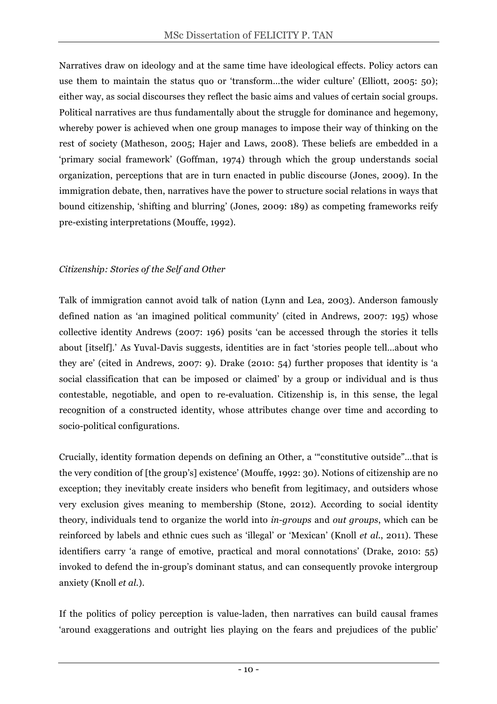Narratives draw on ideology and at the same time have ideological effects. Policy actors can use them to maintain the status quo or 'transform…the wider culture' (Elliott, 2005: 50); either way, as social discourses they reflect the basic aims and values of certain social groups. Political narratives are thus fundamentally about the struggle for dominance and hegemony, whereby power is achieved when one group manages to impose their way of thinking on the rest of society (Matheson, 2005; Hajer and Laws, 2008). These beliefs are embedded in a 'primary social framework' (Goffman, 1974) through which the group understands social organization, perceptions that are in turn enacted in public discourse (Jones, 2009). In the immigration debate, then, narratives have the power to structure social relations in ways that bound citizenship, 'shifting and blurring' (Jones, 2009: 189) as competing frameworks reify pre-existing interpretations (Mouffe, 1992).

## *Citizenship: Stories of the Self and Other*

Talk of immigration cannot avoid talk of nation (Lynn and Lea, 2003). Anderson famously defined nation as 'an imagined political community' (cited in Andrews, 2007: 195) whose collective identity Andrews (2007: 196) posits 'can be accessed through the stories it tells about [itself].' As Yuval-Davis suggests, identities are in fact 'stories people tell…about who they are' (cited in Andrews, 2007: 9). Drake (2010: 54) further proposes that identity is 'a social classification that can be imposed or claimed' by a group or individual and is thus contestable, negotiable, and open to re-evaluation. Citizenship is, in this sense, the legal recognition of a constructed identity, whose attributes change over time and according to socio-political configurations.

Crucially, identity formation depends on defining an Other, a '"constitutive outside"…that is the very condition of [the group's] existence' (Mouffe, 1992: 30). Notions of citizenship are no exception; they inevitably create insiders who benefit from legitimacy, and outsiders whose very exclusion gives meaning to membership (Stone, 2012). According to social identity theory, individuals tend to organize the world into *in-groups* and *out groups*, which can be reinforced by labels and ethnic cues such as 'illegal' or 'Mexican' (Knoll *et al.*, 2011). These identifiers carry 'a range of emotive, practical and moral connotations' (Drake, 2010: 55) invoked to defend the in-group's dominant status, and can consequently provoke intergroup anxiety (Knoll *et al.*).

If the politics of policy perception is value-laden, then narratives can build causal frames 'around exaggerations and outright lies playing on the fears and prejudices of the public'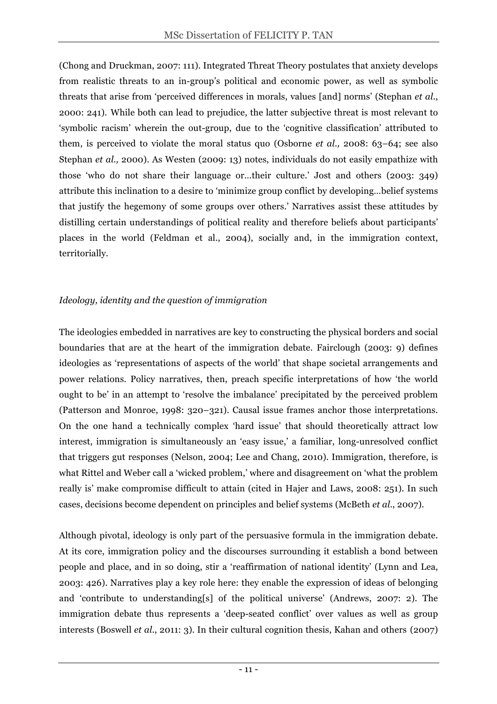(Chong and Druckman, 2007: 111). Integrated Threat Theory postulates that anxiety develops from realistic threats to an in-group's political and economic power, as well as symbolic threats that arise from 'perceived differences in morals, values [and] norms' (Stephan *et al.*, 2000: 241). While both can lead to prejudice, the latter subjective threat is most relevant to 'symbolic racism' wherein the out-group, due to the 'cognitive classification' attributed to them, is perceived to violate the moral status quo (Osborne *et al.,* 2008: 63–64; see also Stephan *et al.,* 2000). As Westen (2009: 13) notes, individuals do not easily empathize with those 'who do not share their language or…their culture.' Jost and others (2003: 349) attribute this inclination to a desire to 'minimize group conflict by developing…belief systems that justify the hegemony of some groups over others.' Narratives assist these attitudes by distilling certain understandings of political reality and therefore beliefs about participants' places in the world (Feldman et al., 2004), socially and, in the immigration context, territorially.

## *Ideology, identity and the question of immigration*

The ideologies embedded in narratives are key to constructing the physical borders and social boundaries that are at the heart of the immigration debate. Fairclough (2003: 9) defines ideologies as 'representations of aspects of the world' that shape societal arrangements and power relations. Policy narratives, then, preach specific interpretations of how 'the world ought to be' in an attempt to 'resolve the imbalance' precipitated by the perceived problem (Patterson and Monroe, 1998: 320–321). Causal issue frames anchor those interpretations. On the one hand a technically complex 'hard issue' that should theoretically attract low interest, immigration is simultaneously an 'easy issue,' a familiar, long-unresolved conflict that triggers gut responses (Nelson, 2004; Lee and Chang, 2010). Immigration, therefore, is what Rittel and Weber call a 'wicked problem,' where and disagreement on 'what the problem really is' make compromise difficult to attain (cited in Hajer and Laws, 2008: 251). In such cases, decisions become dependent on principles and belief systems (McBeth *et al*., 2007).

Although pivotal, ideology is only part of the persuasive formula in the immigration debate. At its core, immigration policy and the discourses surrounding it establish a bond between people and place, and in so doing, stir a 'reaffirmation of national identity' (Lynn and Lea, 2003: 426). Narratives play a key role here: they enable the expression of ideas of belonging and 'contribute to understanding[s] of the political universe' (Andrews, 2007: 2). The immigration debate thus represents a 'deep-seated conflict' over values as well as group interests (Boswell *et al*., 2011: 3). In their cultural cognition thesis, Kahan and others (2007)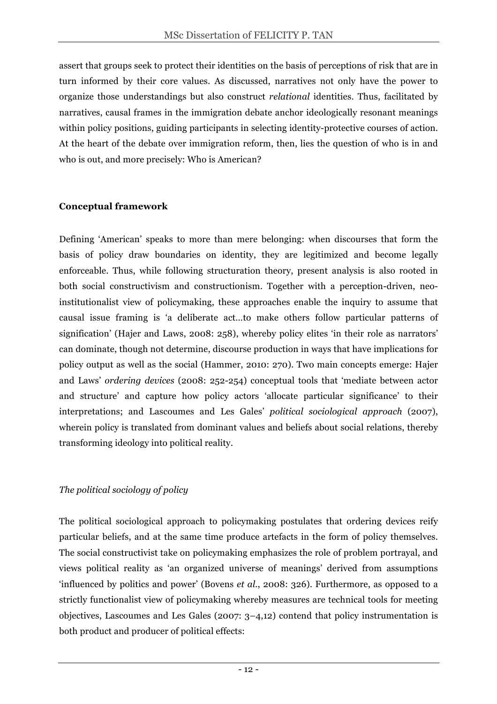assert that groups seek to protect their identities on the basis of perceptions of risk that are in turn informed by their core values. As discussed, narratives not only have the power to organize those understandings but also construct *relational* identities. Thus, facilitated by narratives, causal frames in the immigration debate anchor ideologically resonant meanings within policy positions, guiding participants in selecting identity-protective courses of action. At the heart of the debate over immigration reform, then, lies the question of who is in and who is out, and more precisely: Who is American?

## **Conceptual framework**

Defining 'American' speaks to more than mere belonging: when discourses that form the basis of policy draw boundaries on identity, they are legitimized and become legally enforceable. Thus, while following structuration theory, present analysis is also rooted in both social constructivism and constructionism. Together with a perception-driven, neoinstitutionalist view of policymaking, these approaches enable the inquiry to assume that causal issue framing is 'a deliberate act…to make others follow particular patterns of signification' (Hajer and Laws, 2008: 258), whereby policy elites 'in their role as narrators' can dominate, though not determine, discourse production in ways that have implications for policy output as well as the social (Hammer, 2010: 270). Two main concepts emerge: Hajer and Laws' *ordering devices* (2008: 252-254) conceptual tools that 'mediate between actor and structure' and capture how policy actors 'allocate particular significance' to their interpretations; and Lascoumes and Les Gales' *political sociological approach* (2007), wherein policy is translated from dominant values and beliefs about social relations, thereby transforming ideology into political reality.

## *The political sociology of policy*

The political sociological approach to policymaking postulates that ordering devices reify particular beliefs, and at the same time produce artefacts in the form of policy themselves. The social constructivist take on policymaking emphasizes the role of problem portrayal, and views political reality as 'an organized universe of meanings' derived from assumptions 'influenced by politics and power' (Bovens *et al.*, 2008: 326). Furthermore, as opposed to a strictly functionalist view of policymaking whereby measures are technical tools for meeting objectives, Lascoumes and Les Gales (2007: 3–4,12) contend that policy instrumentation is both product and producer of political effects: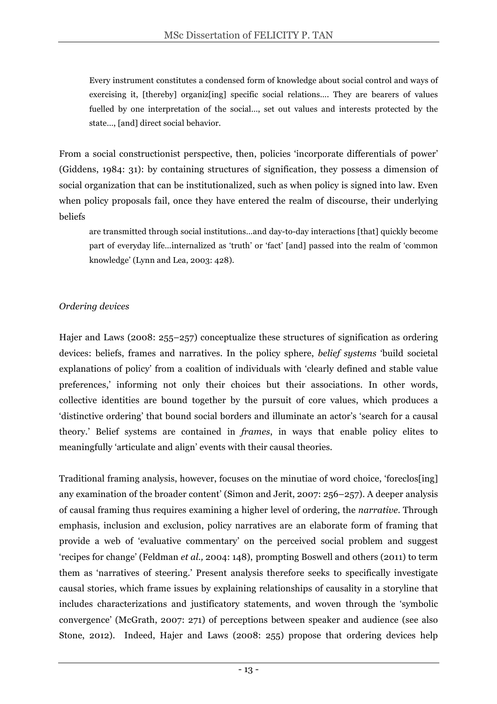Every instrument constitutes a condensed form of knowledge about social control and ways of exercising it, [thereby] organiz[ing] specific social relations…. They are bearers of values fuelled by one interpretation of the social…, set out values and interests protected by the state…, [and] direct social behavior.

From a social constructionist perspective, then, policies 'incorporate differentials of power' (Giddens, 1984: 31): by containing structures of signification, they possess a dimension of social organization that can be institutionalized, such as when policy is signed into law. Even when policy proposals fail, once they have entered the realm of discourse, their underlying beliefs

are transmitted through social institutions…and day-to-day interactions [that] quickly become part of everyday life…internalized as 'truth' or 'fact' [and] passed into the realm of 'common knowledge' (Lynn and Lea, 2003: 428).

## *Ordering devices*

Hajer and Laws (2008: 255–257) conceptualize these structures of signification as ordering devices: beliefs, frames and narratives. In the policy sphere, *belief systems* 'build societal explanations of policy' from a coalition of individuals with 'clearly defined and stable value preferences,' informing not only their choices but their associations. In other words, collective identities are bound together by the pursuit of core values, which produces a 'distinctive ordering' that bound social borders and illuminate an actor's 'search for a causal theory.' Belief systems are contained in *frames*, in ways that enable policy elites to meaningfully 'articulate and align' events with their causal theories.

Traditional framing analysis, however, focuses on the minutiae of word choice, 'foreclos[ing] any examination of the broader content' (Simon and Jerit, 2007: 256–257). A deeper analysis of causal framing thus requires examining a higher level of ordering, the *narrative*. Through emphasis, inclusion and exclusion, policy narratives are an elaborate form of framing that provide a web of 'evaluative commentary' on the perceived social problem and suggest 'recipes for change' (Feldman *et al.,* 2004: 148), prompting Boswell and others (2011) to term them as 'narratives of steering.' Present analysis therefore seeks to specifically investigate causal stories, which frame issues by explaining relationships of causality in a storyline that includes characterizations and justificatory statements, and woven through the 'symbolic convergence' (McGrath, 2007: 271) of perceptions between speaker and audience (see also Stone, 2012). Indeed, Hajer and Laws (2008: 255) propose that ordering devices help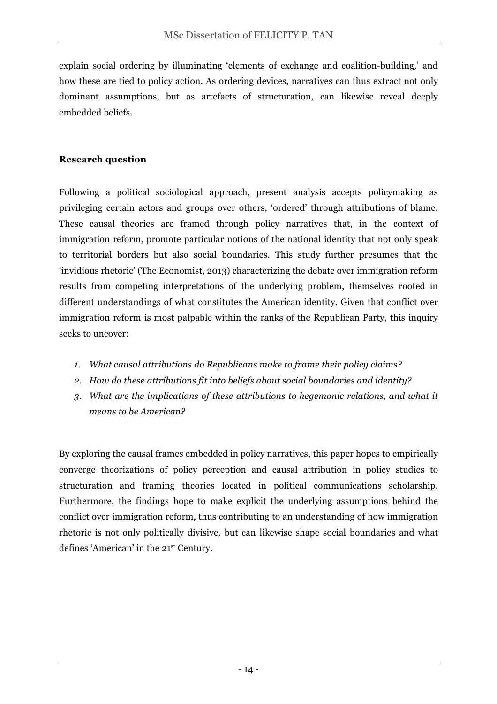explain social ordering by illuminating 'elements of exchange and coalition-building,' and how these are tied to policy action. As ordering devices, narratives can thus extract not only dominant assumptions, but as artefacts of structuration, can likewise reveal deeply embedded beliefs.

#### **Research question**

Following a political sociological approach, present analysis accepts policymaking as privileging certain actors and groups over others, 'ordered' through attributions of blame. These causal theories are framed through policy narratives that, in the context of immigration reform, promote particular notions of the national identity that not only speak to territorial borders but also social boundaries. This study further presumes that the 'invidious rhetoric' (The Economist, 2013) characterizing the debate over immigration reform results from competing interpretations of the underlying problem, themselves rooted in different understandings of what constitutes the American identity. Given that conflict over immigration reform is most palpable within the ranks of the Republican Party, this inquiry seeks to uncover:

- *1. What causal attributions do Republicans make to frame their policy claims?*
- *2. How do these attributions fit into beliefs about social boundaries and identity?*
- *3. What are the implications of these attributions to hegemonic relations, and what it means to be American?*

By exploring the causal frames embedded in policy narratives, this paper hopes to empirically converge theorizations of policy perception and causal attribution in policy studies to structuration and framing theories located in political communications scholarship. Furthermore, the findings hope to make explicit the underlying assumptions behind the conflict over immigration reform, thus contributing to an understanding of how immigration rhetoric is not only politically divisive, but can likewise shape social boundaries and what defines 'American' in the 21st Century.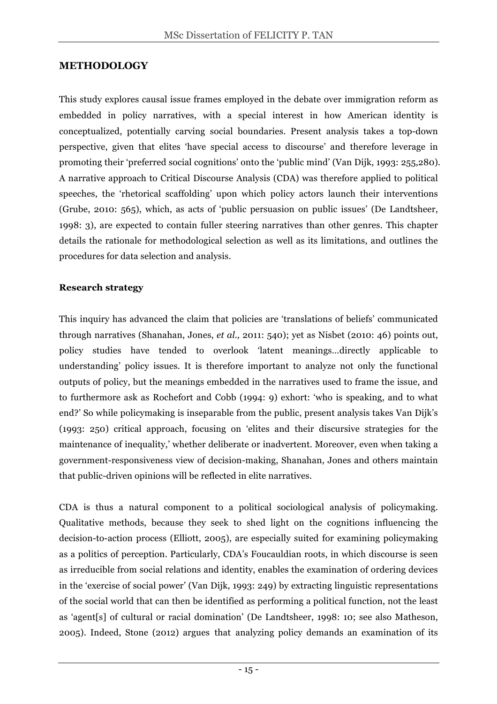#### **METHODOLOGY**

This study explores causal issue frames employed in the debate over immigration reform as embedded in policy narratives, with a special interest in how American identity is conceptualized, potentially carving social boundaries. Present analysis takes a top-down perspective, given that elites 'have special access to discourse' and therefore leverage in promoting their 'preferred social cognitions' onto the 'public mind' (Van Dijk, 1993: 255,280). A narrative approach to Critical Discourse Analysis (CDA) was therefore applied to political speeches, the 'rhetorical scaffolding' upon which policy actors launch their interventions (Grube, 2010: 565), which, as acts of 'public persuasion on public issues' (De Landtsheer, 1998: 3), are expected to contain fuller steering narratives than other genres. This chapter details the rationale for methodological selection as well as its limitations, and outlines the procedures for data selection and analysis.

#### **Research strategy**

This inquiry has advanced the claim that policies are 'translations of beliefs' communicated through narratives (Shanahan, Jones, *et al.,* 2011: 540); yet as Nisbet (2010: 46) points out, policy studies have tended to overlook 'latent meanings…directly applicable to understanding' policy issues. It is therefore important to analyze not only the functional outputs of policy, but the meanings embedded in the narratives used to frame the issue, and to furthermore ask as Rochefort and Cobb (1994: 9) exhort: 'who is speaking, and to what end?' So while policymaking is inseparable from the public, present analysis takes Van Dijk's (1993: 250) critical approach, focusing on 'elites and their discursive strategies for the maintenance of inequality,' whether deliberate or inadvertent. Moreover, even when taking a government-responsiveness view of decision-making, Shanahan, Jones and others maintain that public-driven opinions will be reflected in elite narratives.

CDA is thus a natural component to a political sociological analysis of policymaking. Qualitative methods, because they seek to shed light on the cognitions influencing the decision-to-action process (Elliott, 2005), are especially suited for examining policymaking as a politics of perception. Particularly, CDA's Foucauldian roots, in which discourse is seen as irreducible from social relations and identity, enables the examination of ordering devices in the 'exercise of social power' (Van Dijk, 1993: 249) by extracting linguistic representations of the social world that can then be identified as performing a political function, not the least as 'agent[s] of cultural or racial domination' (De Landtsheer, 1998: 10; see also Matheson, 2005). Indeed, Stone (2012) argues that analyzing policy demands an examination of its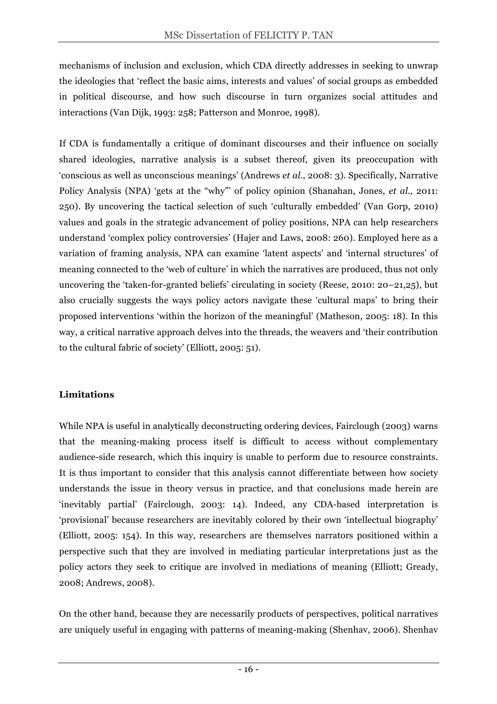mechanisms of inclusion and exclusion, which CDA directly addresses in seeking to unwrap the ideologies that 'reflect the basic aims, interests and values' of social groups as embedded in political discourse, and how such discourse in turn organizes social attitudes and interactions (Van Dijk, 1993: 258; Patterson and Monroe, 1998).

If CDA is fundamentally a critique of dominant discourses and their influence on socially shared ideologies, narrative analysis is a subset thereof, given its preoccupation with 'conscious as well as unconscious meanings' (Andrews *et al.*, 2008: 3). Specifically, Narrative Policy Analysis (NPA) 'gets at the "why"' of policy opinion (Shanahan, Jones, *et al.,* 2011: 250). By uncovering the tactical selection of such 'culturally embedded' (Van Gorp, 2010) values and goals in the strategic advancement of policy positions, NPA can help researchers understand 'complex policy controversies' (Hajer and Laws, 2008: 260). Employed here as a variation of framing analysis, NPA can examine 'latent aspects' and 'internal structures' of meaning connected to the 'web of culture' in which the narratives are produced, thus not only uncovering the 'taken-for-granted beliefs' circulating in society (Reese, 2010: 20–21,25), but also crucially suggests the ways policy actors navigate these 'cultural maps' to bring their proposed interventions 'within the horizon of the meaningful' (Matheson, 2005: 18). In this way, a critical narrative approach delves into the threads, the weavers and 'their contribution to the cultural fabric of society' (Elliott, 2005: 51).

## **Limitations**

While NPA is useful in analytically deconstructing ordering devices, Fairclough (2003) warns that the meaning-making process itself is difficult to access without complementary audience-side research, which this inquiry is unable to perform due to resource constraints. It is thus important to consider that this analysis cannot differentiate between how society understands the issue in theory versus in practice, and that conclusions made herein are 'inevitably partial' (Fairclough, 2003: 14). Indeed, any CDA-based interpretation is 'provisional' because researchers are inevitably colored by their own 'intellectual biography' (Elliott, 2005: 154). In this way, researchers are themselves narrators positioned within a perspective such that they are involved in mediating particular interpretations just as the policy actors they seek to critique are involved in mediations of meaning (Elliott; Gready, 2008; Andrews, 2008).

On the other hand, because they are necessarily products of perspectives, political narratives are uniquely useful in engaging with patterns of meaning-making (Shenhav, 2006). Shenhav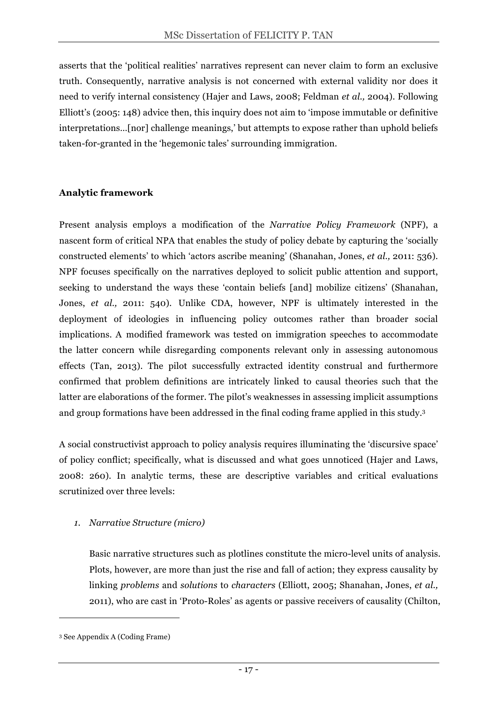asserts that the 'political realities' narratives represent can never claim to form an exclusive truth. Consequently, narrative analysis is not concerned with external validity nor does it need to verify internal consistency (Hajer and Laws, 2008; Feldman *et al.,* 2004). Following Elliott's (2005: 148) advice then, this inquiry does not aim to 'impose immutable or definitive interpretations…[nor] challenge meanings,' but attempts to expose rather than uphold beliefs taken-for-granted in the 'hegemonic tales' surrounding immigration.

#### **Analytic framework**

Present analysis employs a modification of the *Narrative Policy Framework* (NPF), a nascent form of critical NPA that enables the study of policy debate by capturing the 'socially constructed elements' to which 'actors ascribe meaning' (Shanahan, Jones, *et al.,* 2011: 536). NPF focuses specifically on the narratives deployed to solicit public attention and support, seeking to understand the ways these 'contain beliefs [and] mobilize citizens' (Shanahan, Jones, *et al.,* 2011: 540). Unlike CDA, however, NPF is ultimately interested in the deployment of ideologies in influencing policy outcomes rather than broader social implications. A modified framework was tested on immigration speeches to accommodate the latter concern while disregarding components relevant only in assessing autonomous effects (Tan, 2013). The pilot successfully extracted identity construal and furthermore confirmed that problem definitions are intricately linked to causal theories such that the latter are elaborations of the former. The pilot's weaknesses in assessing implicit assumptions and group formations have been addressed in the final coding frame applied in this study.3

A social constructivist approach to policy analysis requires illuminating the 'discursive space' of policy conflict; specifically, what is discussed and what goes unnoticed (Hajer and Laws, 2008: 260). In analytic terms, these are descriptive variables and critical evaluations scrutinized over three levels:

#### *1. Narrative Structure (micro)*

Basic narrative structures such as plotlines constitute the micro-level units of analysis. Plots, however, are more than just the rise and fall of action; they express causality by linking *problems* and *solutions* to *characters* (Elliott, 2005; Shanahan, Jones, *et al.,*  2011), who are cast in 'Proto-Roles' as agents or passive receivers of causality (Chilton,

 $\overline{a}$ 

<sup>3</sup> See Appendix A (Coding Frame)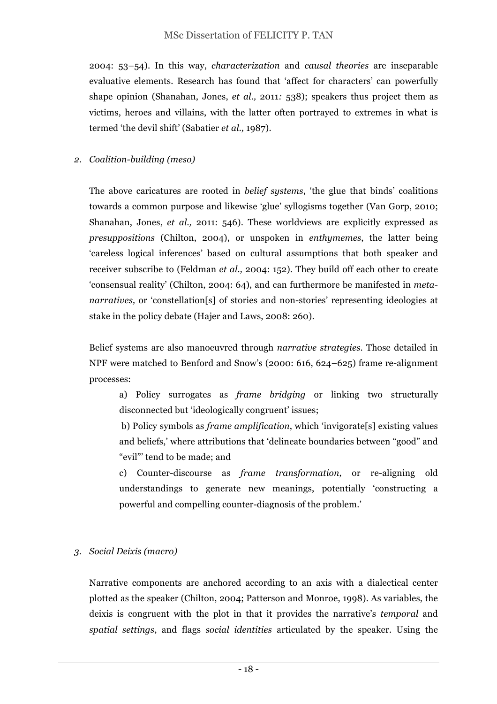2004: 53–54). In this way, *characterization* and *causal theories* are inseparable evaluative elements. Research has found that 'affect for characters' can powerfully shape opinion (Shanahan, Jones, *et al.,* 2011*:* 538); speakers thus project them as victims, heroes and villains, with the latter often portrayed to extremes in what is termed 'the devil shift' (Sabatier *et al.,* 1987).

#### *2. Coalition-building (meso)*

The above caricatures are rooted in *belief systems*, 'the glue that binds' coalitions towards a common purpose and likewise 'glue' syllogisms together (Van Gorp, 2010; Shanahan, Jones, *et al.,* 2011: 546). These worldviews are explicitly expressed as *presuppositions* (Chilton, 2004), or unspoken in *enthymemes*, the latter being 'careless logical inferences' based on cultural assumptions that both speaker and receiver subscribe to (Feldman *et al.,* 2004: 152). They build off each other to create 'consensual reality' (Chilton, 2004: 64), and can furthermore be manifested in *metanarratives,* or 'constellation[s] of stories and non-stories' representing ideologies at stake in the policy debate (Hajer and Laws, 2008: 260).

Belief systems are also manoeuvred through *narrative strategies*. Those detailed in NPF were matched to Benford and Snow's (2000: 616, 624–625) frame re-alignment processes:

a) Policy surrogates as *frame bridging* or linking two structurally disconnected but 'ideologically congruent' issues;

b) Policy symbols as *frame amplification*, which 'invigorate[s] existing values and beliefs,' where attributions that 'delineate boundaries between "good" and "evil"' tend to be made; and

c) Counter-discourse as *frame transformation,* or re-aligning old understandings to generate new meanings, potentially 'constructing a powerful and compelling counter-diagnosis of the problem.'

## *3. Social Deixis (macro)*

Narrative components are anchored according to an axis with a dialectical center plotted as the speaker (Chilton, 2004; Patterson and Monroe, 1998). As variables, the deixis is congruent with the plot in that it provides the narrative's *temporal* and *spatial settings*, and flags *social identities* articulated by the speaker. Using the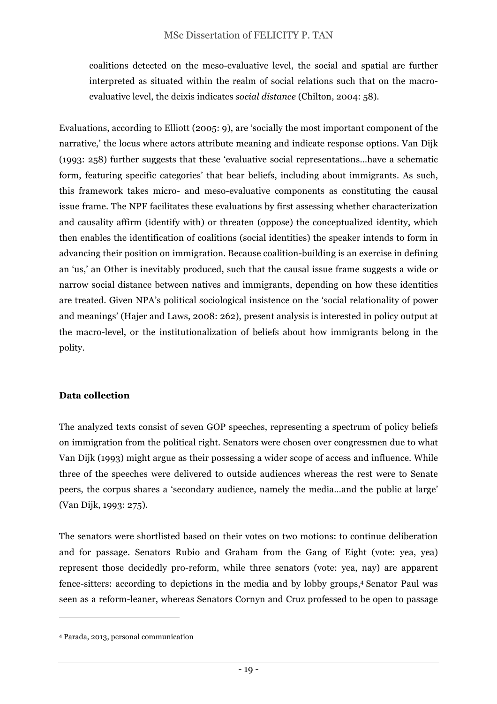coalitions detected on the meso-evaluative level, the social and spatial are further interpreted as situated within the realm of social relations such that on the macroevaluative level, the deixis indicates *social distance* (Chilton, 2004: 58)*.* 

Evaluations, according to Elliott (2005: 9), are 'socially the most important component of the narrative,' the locus where actors attribute meaning and indicate response options. Van Dijk (1993: 258) further suggests that these 'evaluative social representations…have a schematic form, featuring specific categories' that bear beliefs, including about immigrants. As such, this framework takes micro- and meso-evaluative components as constituting the causal issue frame. The NPF facilitates these evaluations by first assessing whether characterization and causality affirm (identify with) or threaten (oppose) the conceptualized identity, which then enables the identification of coalitions (social identities) the speaker intends to form in advancing their position on immigration. Because coalition-building is an exercise in defining an 'us,' an Other is inevitably produced, such that the causal issue frame suggests a wide or narrow social distance between natives and immigrants, depending on how these identities are treated. Given NPA's political sociological insistence on the 'social relationality of power and meanings' (Hajer and Laws, 2008: 262), present analysis is interested in policy output at the macro-level, or the institutionalization of beliefs about how immigrants belong in the polity.

## **Data collection**

The analyzed texts consist of seven GOP speeches, representing a spectrum of policy beliefs on immigration from the political right. Senators were chosen over congressmen due to what Van Dijk (1993) might argue as their possessing a wider scope of access and influence. While three of the speeches were delivered to outside audiences whereas the rest were to Senate peers, the corpus shares a 'secondary audience, namely the media…and the public at large' (Van Dijk, 1993: 275).

The senators were shortlisted based on their votes on two motions: to continue deliberation and for passage. Senators Rubio and Graham from the Gang of Eight (vote: yea, yea) represent those decidedly pro-reform, while three senators (vote: yea, nay) are apparent fence-sitters: according to depictions in the media and by lobby groups,4 Senator Paul was seen as a reform-leaner, whereas Senators Cornyn and Cruz professed to be open to passage

 $\overline{a}$ 

<sup>4</sup> Parada, 2013, personal communication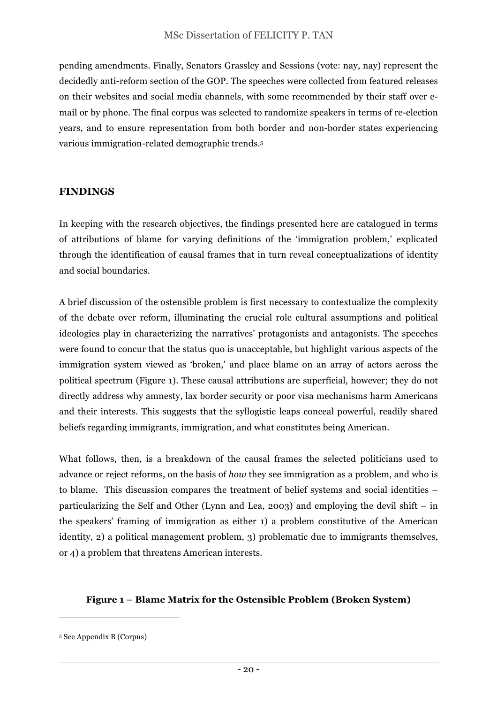pending amendments. Finally, Senators Grassley and Sessions (vote: nay, nay) represent the decidedly anti-reform section of the GOP. The speeches were collected from featured releases on their websites and social media channels, with some recommended by their staff over email or by phone. The final corpus was selected to randomize speakers in terms of re-election years, and to ensure representation from both border and non-border states experiencing various immigration-related demographic trends.5

#### **FINDINGS**

In keeping with the research objectives, the findings presented here are catalogued in terms of attributions of blame for varying definitions of the 'immigration problem,' explicated through the identification of causal frames that in turn reveal conceptualizations of identity and social boundaries.

A brief discussion of the ostensible problem is first necessary to contextualize the complexity of the debate over reform, illuminating the crucial role cultural assumptions and political ideologies play in characterizing the narratives' protagonists and antagonists. The speeches were found to concur that the status quo is unacceptable, but highlight various aspects of the immigration system viewed as 'broken,' and place blame on an array of actors across the political spectrum (Figure 1). These causal attributions are superficial, however; they do not directly address why amnesty, lax border security or poor visa mechanisms harm Americans and their interests. This suggests that the syllogistic leaps conceal powerful, readily shared beliefs regarding immigrants, immigration, and what constitutes being American.

What follows, then, is a breakdown of the causal frames the selected politicians used to advance or reject reforms, on the basis of *how* they see immigration as a problem, and who is to blame. This discussion compares the treatment of belief systems and social identities – particularizing the Self and Other (Lynn and Lea, 2003) and employing the devil shift – in the speakers' framing of immigration as either 1) a problem constitutive of the American identity, 2) a political management problem, 3) problematic due to immigrants themselves, or 4) a problem that threatens American interests.

#### **Figure 1 – Blame Matrix for the Ostensible Problem (Broken System)**

 $\overline{a}$ 

<sup>5</sup> See Appendix B (Corpus)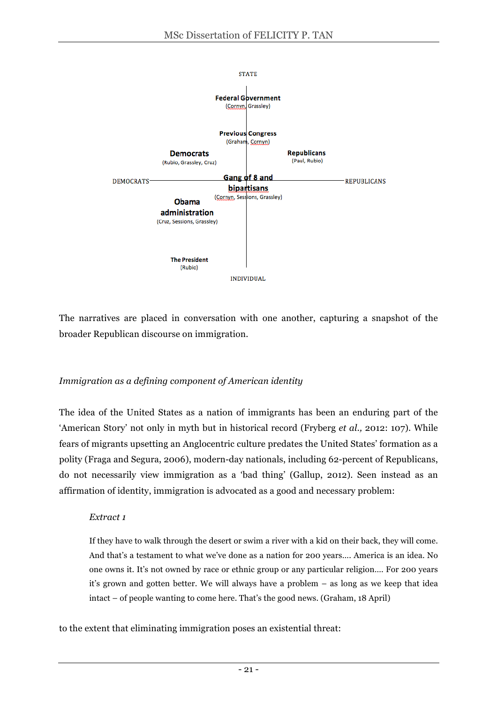

The narratives are placed in conversation with one another, capturing a snapshot of the broader Republican discourse on immigration.

## *Immigration as a defining component of American identity*

The idea of the United States as a nation of immigrants has been an enduring part of the 'American Story' not only in myth but in historical record (Fryberg *et al.,* 2012: 107). While fears of migrants upsetting an Anglocentric culture predates the United States' formation as a polity (Fraga and Segura, 2006), modern-day nationals, including 62-percent of Republicans, do not necessarily view immigration as a 'bad thing' (Gallup, 2012). Seen instead as an affirmation of identity, immigration is advocated as a good and necessary problem:

#### *Extract 1*

If they have to walk through the desert or swim a river with a kid on their back, they will come. And that's a testament to what we've done as a nation for 200 years…. America is an idea. No one owns it. It's not owned by race or ethnic group or any particular religion…. For 200 years it's grown and gotten better. We will always have a problem – as long as we keep that idea intact – of people wanting to come here. That's the good news. (Graham, 18 April)

to the extent that eliminating immigration poses an existential threat: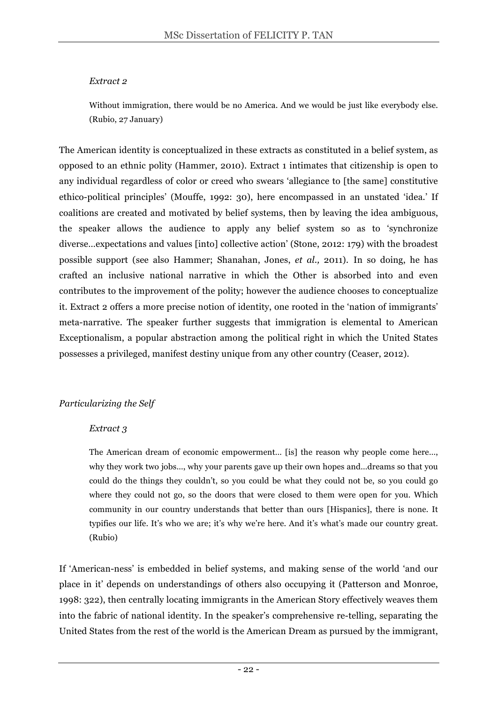#### *Extract 2*

Without immigration, there would be no America. And we would be just like everybody else. (Rubio, 27 January)

The American identity is conceptualized in these extracts as constituted in a belief system, as opposed to an ethnic polity (Hammer, 2010). Extract 1 intimates that citizenship is open to any individual regardless of color or creed who swears 'allegiance to [the same] constitutive ethico-political principles' (Mouffe, 1992: 30), here encompassed in an unstated 'idea.' If coalitions are created and motivated by belief systems, then by leaving the idea ambiguous, the speaker allows the audience to apply any belief system so as to 'synchronize diverse…expectations and values [into] collective action' (Stone, 2012: 179) with the broadest possible support (see also Hammer; Shanahan, Jones, *et al.,* 2011). In so doing, he has crafted an inclusive national narrative in which the Other is absorbed into and even contributes to the improvement of the polity; however the audience chooses to conceptualize it. Extract 2 offers a more precise notion of identity, one rooted in the 'nation of immigrants' meta-narrative. The speaker further suggests that immigration is elemental to American Exceptionalism, a popular abstraction among the political right in which the United States possesses a privileged, manifest destiny unique from any other country (Ceaser, 2012).

## *Particularizing the Self*

#### *Extract 3*

The American dream of economic empowerment… [is] the reason why people come here…, why they work two jobs…, why your parents gave up their own hopes and…dreams so that you could do the things they couldn't, so you could be what they could not be, so you could go where they could not go, so the doors that were closed to them were open for you. Which community in our country understands that better than ours [Hispanics], there is none. It typifies our life. It's who we are; it's why we're here. And it's what's made our country great. (Rubio)

If 'American-ness' is embedded in belief systems, and making sense of the world 'and our place in it' depends on understandings of others also occupying it (Patterson and Monroe, 1998: 322), then centrally locating immigrants in the American Story effectively weaves them into the fabric of national identity. In the speaker's comprehensive re-telling, separating the United States from the rest of the world is the American Dream as pursued by the immigrant,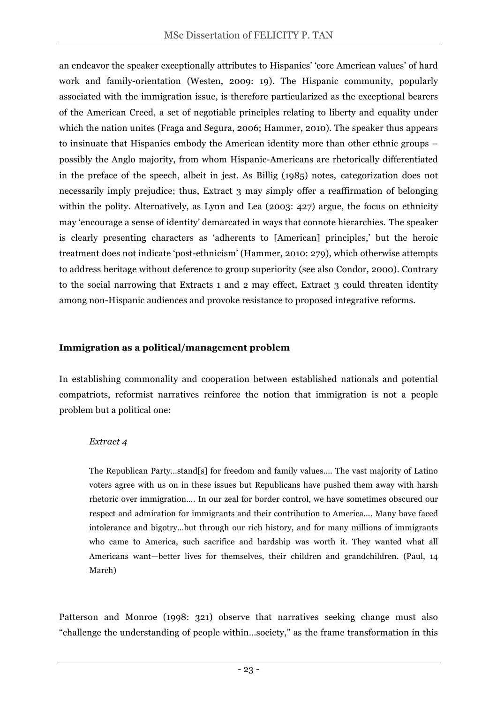an endeavor the speaker exceptionally attributes to Hispanics' 'core American values' of hard work and family-orientation (Westen, 2009: 19). The Hispanic community, popularly associated with the immigration issue, is therefore particularized as the exceptional bearers of the American Creed, a set of negotiable principles relating to liberty and equality under which the nation unites (Fraga and Segura, 2006; Hammer, 2010). The speaker thus appears to insinuate that Hispanics embody the American identity more than other ethnic groups – possibly the Anglo majority, from whom Hispanic-Americans are rhetorically differentiated in the preface of the speech, albeit in jest. As Billig (1985) notes, categorization does not necessarily imply prejudice; thus, Extract 3 may simply offer a reaffirmation of belonging within the polity. Alternatively, as Lynn and Lea (2003: 427) argue, the focus on ethnicity may 'encourage a sense of identity' demarcated in ways that connote hierarchies. The speaker is clearly presenting characters as 'adherents to [American] principles,' but the heroic treatment does not indicate 'post-ethnicism' (Hammer, 2010: 279), which otherwise attempts to address heritage without deference to group superiority (see also Condor, 2000). Contrary to the social narrowing that Extracts 1 and 2 may effect, Extract 3 could threaten identity among non-Hispanic audiences and provoke resistance to proposed integrative reforms.

#### **Immigration as a political/management problem**

In establishing commonality and cooperation between established nationals and potential compatriots, reformist narratives reinforce the notion that immigration is not a people problem but a political one:

#### *Extract 4*

The Republican Party…stand[s] for freedom and family values…. The vast majority of Latino voters agree with us on in these issues but Republicans have pushed them away with harsh rhetoric over immigration…. In our zeal for border control, we have sometimes obscured our respect and admiration for immigrants and their contribution to America…. Many have faced intolerance and bigotry…but through our rich history, and for many millions of immigrants who came to America, such sacrifice and hardship was worth it. They wanted what all Americans want—better lives for themselves, their children and grandchildren*.* (Paul, 14 March)

Patterson and Monroe (1998: 321) observe that narratives seeking change must also "challenge the understanding of people within…society," as the frame transformation in this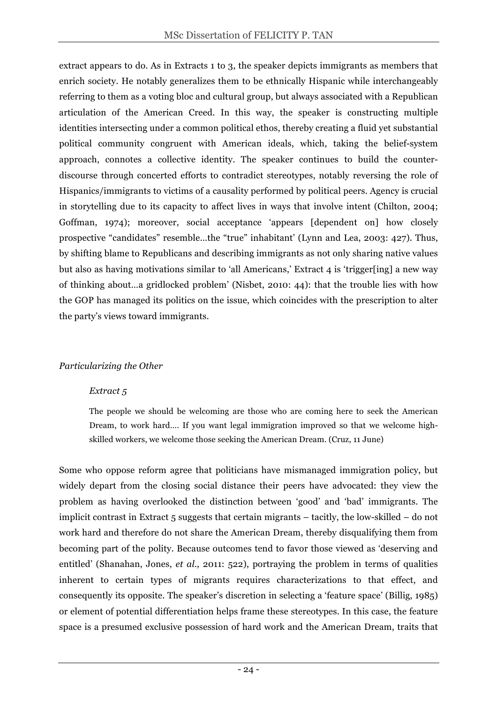extract appears to do. As in Extracts 1 to 3, the speaker depicts immigrants as members that enrich society. He notably generalizes them to be ethnically Hispanic while interchangeably referring to them as a voting bloc and cultural group, but always associated with a Republican articulation of the American Creed. In this way, the speaker is constructing multiple identities intersecting under a common political ethos, thereby creating a fluid yet substantial political community congruent with American ideals, which, taking the belief-system approach, connotes a collective identity. The speaker continues to build the counterdiscourse through concerted efforts to contradict stereotypes, notably reversing the role of Hispanics/immigrants to victims of a causality performed by political peers. Agency is crucial in storytelling due to its capacity to affect lives in ways that involve intent (Chilton, 2004; Goffman, 1974); moreover, social acceptance 'appears [dependent on] how closely prospective "candidates" resemble…the "true" inhabitant' (Lynn and Lea, 2003: 427). Thus, by shifting blame to Republicans and describing immigrants as not only sharing native values but also as having motivations similar to 'all Americans,' Extract 4 is 'trigger[ing] a new way of thinking about…a gridlocked problem' (Nisbet, 2010: 44): that the trouble lies with how the GOP has managed its politics on the issue, which coincides with the prescription to alter the party's views toward immigrants.

#### *Particularizing the Other*

#### *Extract 5*

The people we should be welcoming are those who are coming here to seek the American Dream, to work hard…. If you want legal immigration improved so that we welcome highskilled workers, we welcome those seeking the American Dream. (Cruz, 11 June)

Some who oppose reform agree that politicians have mismanaged immigration policy, but widely depart from the closing social distance their peers have advocated: they view the problem as having overlooked the distinction between 'good' and 'bad' immigrants. The implicit contrast in Extract 5 suggests that certain migrants – tacitly, the low-skilled – do not work hard and therefore do not share the American Dream, thereby disqualifying them from becoming part of the polity. Because outcomes tend to favor those viewed as 'deserving and entitled' (Shanahan, Jones, *et al.,* 2011: 522), portraying the problem in terms of qualities inherent to certain types of migrants requires characterizations to that effect, and consequently its opposite. The speaker's discretion in selecting a 'feature space' (Billig, 1985) or element of potential differentiation helps frame these stereotypes. In this case, the feature space is a presumed exclusive possession of hard work and the American Dream, traits that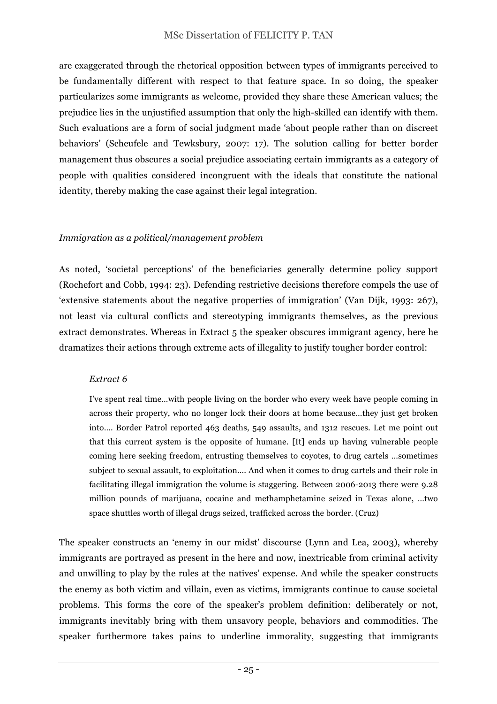are exaggerated through the rhetorical opposition between types of immigrants perceived to be fundamentally different with respect to that feature space. In so doing, the speaker particularizes some immigrants as welcome, provided they share these American values; the prejudice lies in the unjustified assumption that only the high-skilled can identify with them. Such evaluations are a form of social judgment made 'about people rather than on discreet behaviors' (Scheufele and Tewksbury, 2007: 17). The solution calling for better border management thus obscures a social prejudice associating certain immigrants as a category of people with qualities considered incongruent with the ideals that constitute the national identity, thereby making the case against their legal integration.

#### *Immigration as a political/management problem*

As noted, 'societal perceptions' of the beneficiaries generally determine policy support (Rochefort and Cobb, 1994: 23). Defending restrictive decisions therefore compels the use of 'extensive statements about the negative properties of immigration' (Van Dijk, 1993: 267), not least via cultural conflicts and stereotyping immigrants themselves, as the previous extract demonstrates. Whereas in Extract 5 the speaker obscures immigrant agency, here he dramatizes their actions through extreme acts of illegality to justify tougher border control:

#### *Extract 6*

I've spent real time…with people living on the border who every week have people coming in across their property, who no longer lock their doors at home because…they just get broken into…. Border Patrol reported 463 deaths, 549 assaults, and 1312 rescues. Let me point out that this current system is the opposite of humane. [It] ends up having vulnerable people coming here seeking freedom, entrusting themselves to coyotes, to drug cartels …sometimes subject to sexual assault, to exploitation…. And when it comes to drug cartels and their role in facilitating illegal immigration the volume is staggering. Between 2006-2013 there were 9.28 million pounds of marijuana, cocaine and methamphetamine seized in Texas alone, …two space shuttles worth of illegal drugs seized, trafficked across the border. (Cruz)

The speaker constructs an 'enemy in our midst' discourse (Lynn and Lea, 2003), whereby immigrants are portrayed as present in the here and now, inextricable from criminal activity and unwilling to play by the rules at the natives' expense. And while the speaker constructs the enemy as both victim and villain, even as victims, immigrants continue to cause societal problems. This forms the core of the speaker's problem definition: deliberately or not, immigrants inevitably bring with them unsavory people, behaviors and commodities. The speaker furthermore takes pains to underline immorality, suggesting that immigrants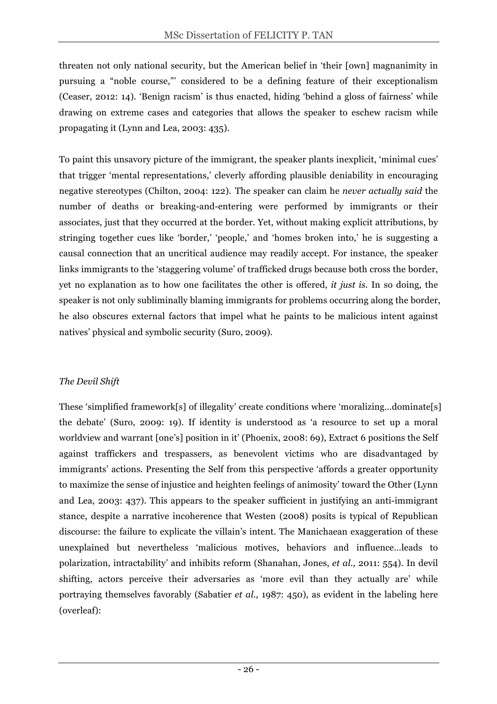threaten not only national security, but the American belief in 'their [own] magnanimity in pursuing a "noble course,"' considered to be a defining feature of their exceptionalism (Ceaser, 2012: 14). 'Benign racism' is thus enacted, hiding 'behind a gloss of fairness' while drawing on extreme cases and categories that allows the speaker to eschew racism while propagating it (Lynn and Lea, 2003: 435).

To paint this unsavory picture of the immigrant, the speaker plants inexplicit, 'minimal cues' that trigger 'mental representations,' cleverly affording plausible deniability in encouraging negative stereotypes (Chilton, 2004: 122). The speaker can claim he *never actually said* the number of deaths or breaking-and-entering were performed by immigrants or their associates, just that they occurred at the border. Yet, without making explicit attributions, by stringing together cues like 'border,' 'people,' and 'homes broken into,' he is suggesting a causal connection that an uncritical audience may readily accept. For instance, the speaker links immigrants to the 'staggering volume' of trafficked drugs because both cross the border, yet no explanation as to how one facilitates the other is offered, *it just is.* In so doing, the speaker is not only subliminally blaming immigrants for problems occurring along the border, he also obscures external factors that impel what he paints to be malicious intent against natives' physical and symbolic security (Suro, 2009).

## *The Devil Shift*

These 'simplified framework[s] of illegality' create conditions where 'moralizing…dominate[s] the debate' (Suro, 2009: 19). If identity is understood as 'a resource to set up a moral worldview and warrant [one's] position in it' (Phoenix, 2008: 69), Extract 6 positions the Self against traffickers and trespassers, as benevolent victims who are disadvantaged by immigrants' actions. Presenting the Self from this perspective 'affords a greater opportunity to maximize the sense of injustice and heighten feelings of animosity' toward the Other (Lynn and Lea, 2003: 437). This appears to the speaker sufficient in justifying an anti-immigrant stance, despite a narrative incoherence that Westen (2008) posits is typical of Republican discourse: the failure to explicate the villain's intent. The Manichaean exaggeration of these unexplained but nevertheless 'malicious motives, behaviors and influence…leads to polarization, intractability' and inhibits reform (Shanahan, Jones, *et al.,* 2011: 554). In devil shifting, actors perceive their adversaries as 'more evil than they actually are' while portraying themselves favorably (Sabatier *et al.,* 1987: 450), as evident in the labeling here (overleaf):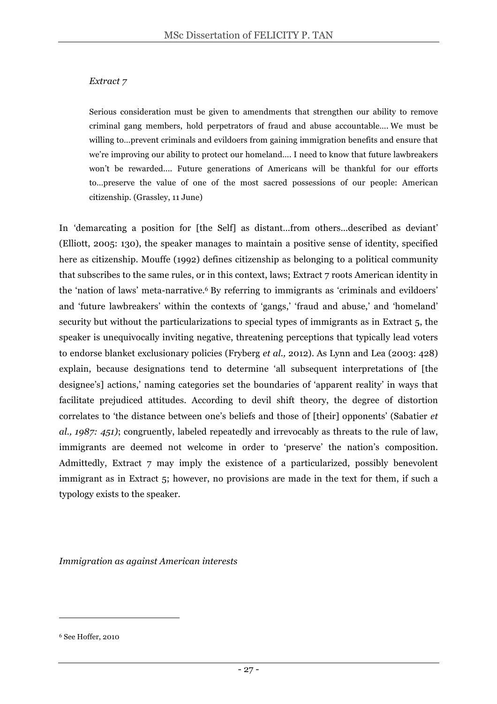#### *Extract 7*

Serious consideration must be given to amendments that strengthen our ability to remove criminal gang members, hold perpetrators of fraud and abuse accountable…. We must be willing to…prevent criminals and evildoers from gaining immigration benefits and ensure that we're improving our ability to protect our homeland…. I need to know that future lawbreakers won't be rewarded.... Future generations of Americans will be thankful for our efforts to…preserve the value of one of the most sacred possessions of our people: American citizenship. (Grassley, 11 June)

In 'demarcating a position for [the Self] as distant…from others…described as deviant' (Elliott, 2005: 130), the speaker manages to maintain a positive sense of identity, specified here as citizenship. Mouffe (1992) defines citizenship as belonging to a political community that subscribes to the same rules, or in this context, laws; Extract 7 roots American identity in the 'nation of laws' meta-narrative.6 By referring to immigrants as 'criminals and evildoers' and 'future lawbreakers' within the contexts of 'gangs,' 'fraud and abuse,' and 'homeland' security but without the particularizations to special types of immigrants as in Extract 5, the speaker is unequivocally inviting negative, threatening perceptions that typically lead voters to endorse blanket exclusionary policies (Fryberg *et al.,* 2012). As Lynn and Lea (2003: 428) explain, because designations tend to determine 'all subsequent interpretations of [the designee's] actions,' naming categories set the boundaries of 'apparent reality' in ways that facilitate prejudiced attitudes. According to devil shift theory, the degree of distortion correlates to 'the distance between one's beliefs and those of [their] opponents' (Sabatier *et al., 1987: 451)*; congruently, labeled repeatedly and irrevocably as threats to the rule of law, immigrants are deemed not welcome in order to 'preserve' the nation's composition. Admittedly, Extract 7 may imply the existence of a particularized, possibly benevolent immigrant as in Extract 5; however, no provisions are made in the text for them, if such a typology exists to the speaker.

*Immigration as against American interests*

 $\overline{a}$ 

<sup>6</sup> See Hoffer, 2010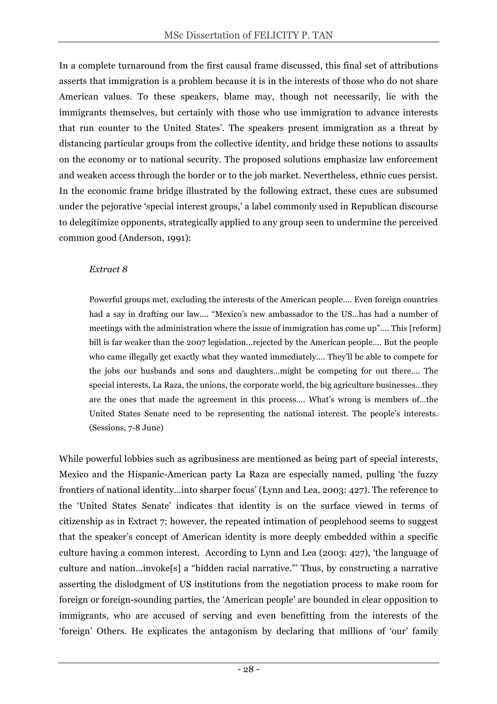In a complete turnaround from the first causal frame discussed, this final set of attributions asserts that immigration is a problem because it is in the interests of those who do not share American values. To these speakers, blame may, though not necessarily, lie with the immigrants themselves, but certainly with those who use immigration to advance interests that run counter to the United States'. The speakers present immigration as a threat by distancing particular groups from the collective identity, and bridge these notions to assaults on the economy or to national security. The proposed solutions emphasize law enforcement and weaken access through the border or to the job market. Nevertheless, ethnic cues persist. In the economic frame bridge illustrated by the following extract, these cues are subsumed under the pejorative 'special interest groups,' a label commonly used in Republican discourse to delegitimize opponents, strategically applied to any group seen to undermine the perceived common good (Anderson, 1991):

#### *Extract 8*

Powerful groups met, excluding the interests of the American people…. Even foreign countries had a say in drafting our law.... "Mexico's new ambassador to the US…has had a number of meetings with the administration where the issue of immigration has come up"…. This [reform] bill is far weaker than the 2007 legislation…rejected by the American people…. But the people who came illegally get exactly what they wanted immediately…. They'll be able to compete for the jobs our husbands and sons and daughters…might be competing for out there…. The special interests, La Raza, the unions, the corporate world, the big agriculture businesses…they are the ones that made the agreement in this process…. What's wrong is members of…the United States Senate need to be representing the national interest. The people's interests. (Sessions, 7-8 June)

While powerful lobbies such as agribusiness are mentioned as being part of special interests, Mexico and the Hispanic-American party La Raza are especially named, pulling 'the fuzzy frontiers of national identity…into sharper focus' (Lynn and Lea, 2003: 427). The reference to the 'United States Senate' indicates that identity is on the surface viewed in terms of citizenship as in Extract 7; however, the repeated intimation of peoplehood seems to suggest that the speaker's concept of American identity is more deeply embedded within a specific culture having a common interest. According to Lynn and Lea (2003: 427), 'the language of culture and nation…invoke[s] a "hidden racial narrative."' Thus, by constructing a narrative asserting the dislodgment of US institutions from the negotiation process to make room for foreign or foreign-sounding parties, the 'American people' are bounded in clear opposition to immigrants, who are accused of serving and even benefitting from the interests of the 'foreign' Others. He explicates the antagonism by declaring that millions of 'our' family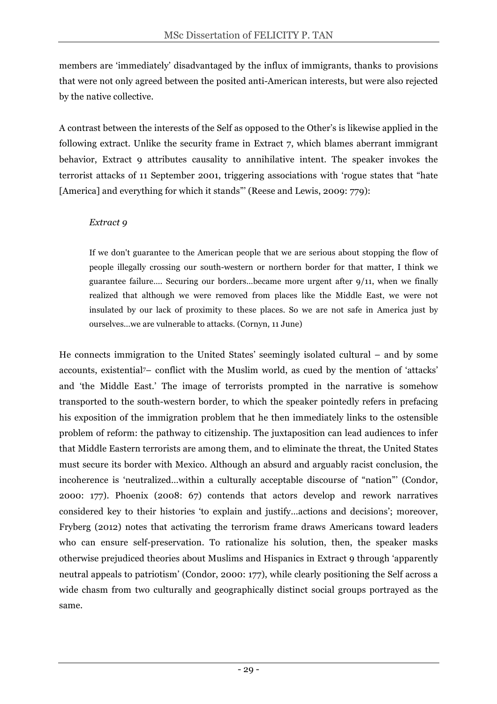members are 'immediately' disadvantaged by the influx of immigrants, thanks to provisions that were not only agreed between the posited anti-American interests, but were also rejected by the native collective.

A contrast between the interests of the Self as opposed to the Other's is likewise applied in the following extract. Unlike the security frame in Extract 7, which blames aberrant immigrant behavior, Extract 9 attributes causality to annihilative intent. The speaker invokes the terrorist attacks of 11 September 2001, triggering associations with 'rogue states that "hate [America] and everything for which it stands"' (Reese and Lewis, 2009: 779):

#### *Extract 9*

If we don't guarantee to the American people that we are serious about stopping the flow of people illegally crossing our south-western or northern border for that matter, I think we guarantee failure…. Securing our borders…became more urgent after 9/11, when we finally realized that although we were removed from places like the Middle East, we were not insulated by our lack of proximity to these places. So we are not safe in America just by ourselves…we are vulnerable to attacks. (Cornyn, 11 June)

He connects immigration to the United States' seemingly isolated cultural – and by some accounts, existential7– conflict with the Muslim world, as cued by the mention of 'attacks' and 'the Middle East.' The image of terrorists prompted in the narrative is somehow transported to the south-western border, to which the speaker pointedly refers in prefacing his exposition of the immigration problem that he then immediately links to the ostensible problem of reform: the pathway to citizenship. The juxtaposition can lead audiences to infer that Middle Eastern terrorists are among them, and to eliminate the threat, the United States must secure its border with Mexico. Although an absurd and arguably racist conclusion, the incoherence is 'neutralized…within a culturally acceptable discourse of "nation"' (Condor, 2000: 177). Phoenix (2008: 67) contends that actors develop and rework narratives considered key to their histories 'to explain and justify…actions and decisions'; moreover, Fryberg (2012) notes that activating the terrorism frame draws Americans toward leaders who can ensure self-preservation. To rationalize his solution, then, the speaker masks otherwise prejudiced theories about Muslims and Hispanics in Extract 9 through 'apparently neutral appeals to patriotism' (Condor, 2000: 177), while clearly positioning the Self across a wide chasm from two culturally and geographically distinct social groups portrayed as the same.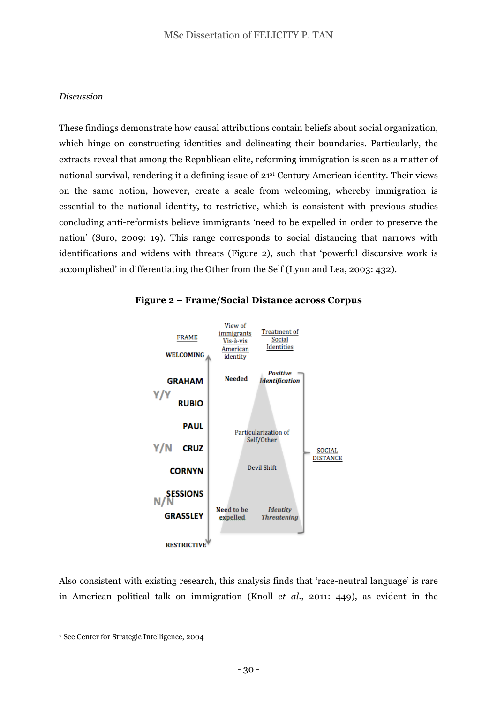#### *Discussion*

These findings demonstrate how causal attributions contain beliefs about social organization, which hinge on constructing identities and delineating their boundaries. Particularly, the extracts reveal that among the Republican elite, reforming immigration is seen as a matter of national survival, rendering it a defining issue of 21st Century American identity. Their views on the same notion, however, create a scale from welcoming, whereby immigration is essential to the national identity, to restrictive, which is consistent with previous studies concluding anti-reformists believe immigrants 'need to be expelled in order to preserve the nation' (Suro, 2009: 19). This range corresponds to social distancing that narrows with identifications and widens with threats (Figure 2), such that 'powerful discursive work is accomplished' in differentiating the Other from the Self (Lynn and Lea, 2003: 432).





Also consistent with existing research, this analysis finds that 'race-neutral language' is rare in American political talk on immigration (Knoll *et al*., 2011: 449), as evident in the

-

<sup>7</sup> See Center for Strategic Intelligence, 2004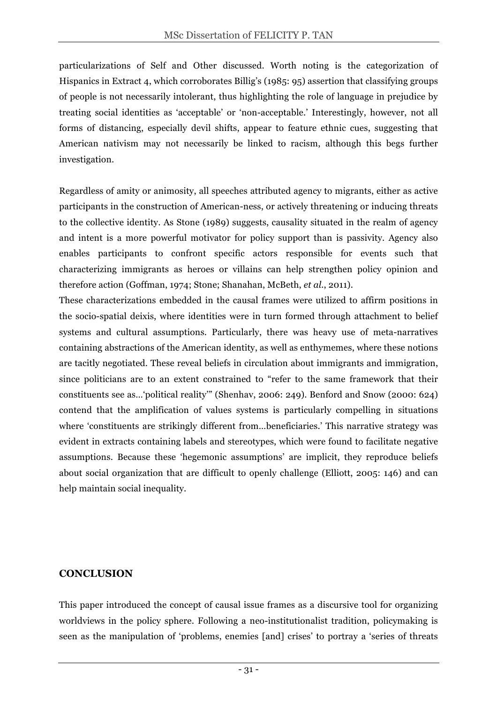particularizations of Self and Other discussed. Worth noting is the categorization of Hispanics in Extract 4, which corroborates Billig's (1985: 95) assertion that classifying groups of people is not necessarily intolerant, thus highlighting the role of language in prejudice by treating social identities as 'acceptable' or 'non-acceptable.' Interestingly, however, not all forms of distancing, especially devil shifts, appear to feature ethnic cues, suggesting that American nativism may not necessarily be linked to racism, although this begs further investigation.

Regardless of amity or animosity, all speeches attributed agency to migrants, either as active participants in the construction of American-ness, or actively threatening or inducing threats to the collective identity. As Stone (1989) suggests, causality situated in the realm of agency and intent is a more powerful motivator for policy support than is passivity. Agency also enables participants to confront specific actors responsible for events such that characterizing immigrants as heroes or villains can help strengthen policy opinion and therefore action (Goffman, 1974; Stone; Shanahan, McBeth, *et al.*, 2011).

These characterizations embedded in the causal frames were utilized to affirm positions in the socio-spatial deixis, where identities were in turn formed through attachment to belief systems and cultural assumptions. Particularly, there was heavy use of meta-narratives containing abstractions of the American identity, as well as enthymemes, where these notions are tacitly negotiated. These reveal beliefs in circulation about immigrants and immigration, since politicians are to an extent constrained to "refer to the same framework that their constituents see as…'political reality'" (Shenhav, 2006: 249). Benford and Snow (2000: 624) contend that the amplification of values systems is particularly compelling in situations where 'constituents are strikingly different from…beneficiaries.' This narrative strategy was evident in extracts containing labels and stereotypes, which were found to facilitate negative assumptions. Because these 'hegemonic assumptions' are implicit, they reproduce beliefs about social organization that are difficult to openly challenge (Elliott, 2005: 146) and can help maintain social inequality.

## **CONCLUSION**

This paper introduced the concept of causal issue frames as a discursive tool for organizing worldviews in the policy sphere. Following a neo-institutionalist tradition, policymaking is seen as the manipulation of 'problems, enemies [and] crises' to portray a 'series of threats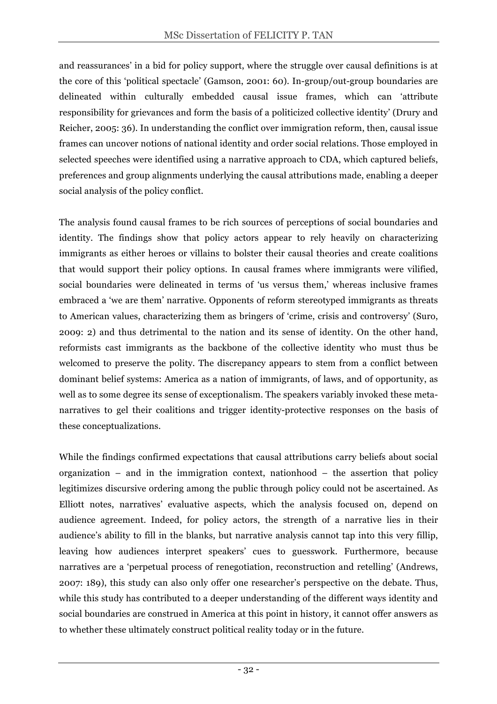and reassurances' in a bid for policy support, where the struggle over causal definitions is at the core of this 'political spectacle' (Gamson, 2001: 60). In-group/out-group boundaries are delineated within culturally embedded causal issue frames, which can 'attribute responsibility for grievances and form the basis of a politicized collective identity' (Drury and Reicher, 2005: 36). In understanding the conflict over immigration reform, then, causal issue frames can uncover notions of national identity and order social relations. Those employed in selected speeches were identified using a narrative approach to CDA, which captured beliefs, preferences and group alignments underlying the causal attributions made, enabling a deeper social analysis of the policy conflict.

The analysis found causal frames to be rich sources of perceptions of social boundaries and identity. The findings show that policy actors appear to rely heavily on characterizing immigrants as either heroes or villains to bolster their causal theories and create coalitions that would support their policy options. In causal frames where immigrants were vilified, social boundaries were delineated in terms of 'us versus them,' whereas inclusive frames embraced a 'we are them' narrative. Opponents of reform stereotyped immigrants as threats to American values, characterizing them as bringers of 'crime, crisis and controversy' (Suro, 2009: 2) and thus detrimental to the nation and its sense of identity. On the other hand, reformists cast immigrants as the backbone of the collective identity who must thus be welcomed to preserve the polity. The discrepancy appears to stem from a conflict between dominant belief systems: America as a nation of immigrants, of laws, and of opportunity, as well as to some degree its sense of exceptionalism. The speakers variably invoked these metanarratives to gel their coalitions and trigger identity-protective responses on the basis of these conceptualizations.

While the findings confirmed expectations that causal attributions carry beliefs about social organization – and in the immigration context, nationhood – the assertion that policy legitimizes discursive ordering among the public through policy could not be ascertained. As Elliott notes, narratives' evaluative aspects, which the analysis focused on, depend on audience agreement. Indeed, for policy actors, the strength of a narrative lies in their audience's ability to fill in the blanks, but narrative analysis cannot tap into this very fillip, leaving how audiences interpret speakers' cues to guesswork. Furthermore, because narratives are a 'perpetual process of renegotiation, reconstruction and retelling' (Andrews, 2007: 189), this study can also only offer one researcher's perspective on the debate. Thus, while this study has contributed to a deeper understanding of the different ways identity and social boundaries are construed in America at this point in history, it cannot offer answers as to whether these ultimately construct political reality today or in the future.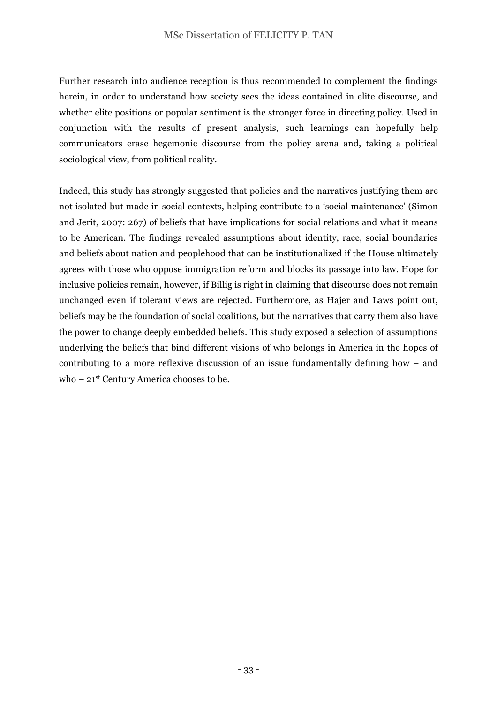Further research into audience reception is thus recommended to complement the findings herein, in order to understand how society sees the ideas contained in elite discourse, and whether elite positions or popular sentiment is the stronger force in directing policy. Used in conjunction with the results of present analysis, such learnings can hopefully help communicators erase hegemonic discourse from the policy arena and, taking a political sociological view, from political reality.

Indeed, this study has strongly suggested that policies and the narratives justifying them are not isolated but made in social contexts, helping contribute to a 'social maintenance' (Simon and Jerit, 2007: 267) of beliefs that have implications for social relations and what it means to be American. The findings revealed assumptions about identity, race, social boundaries and beliefs about nation and peoplehood that can be institutionalized if the House ultimately agrees with those who oppose immigration reform and blocks its passage into law. Hope for inclusive policies remain, however, if Billig is right in claiming that discourse does not remain unchanged even if tolerant views are rejected. Furthermore, as Hajer and Laws point out, beliefs may be the foundation of social coalitions, but the narratives that carry them also have the power to change deeply embedded beliefs. This study exposed a selection of assumptions underlying the beliefs that bind different visions of who belongs in America in the hopes of contributing to a more reflexive discussion of an issue fundamentally defining how – and who – 21<sup>st</sup> Century America chooses to be.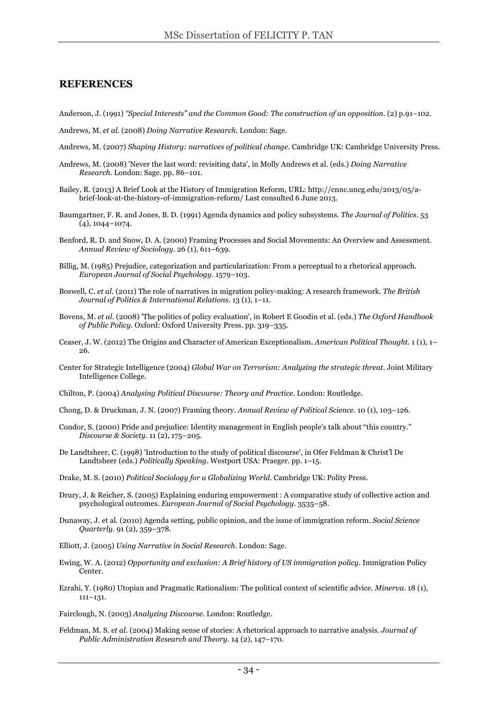#### **REFERENCES**

- Anderson, J. (1991) *"Special Interests" and the Common Good: The construction of an opposition*. (2) p.91–102.
- Andrews, M. *et al.* (2008) *Doing Narrative Research*. London: Sage.
- Andrews, M. (2007) *Shaping History: narratives of political change*. Cambridge UK: Cambridge University Press.
- Andrews, M. (2008) 'Never the last word: revisiting data', in Molly Andrews et al. (eds.) *Doing Narrative Research*. London: Sage. pp. 86–101.
- Bailey, R. (2013) A Brief Look at the History of Immigration Reform, URL: http://cnnc.uncg.edu/2013/05/abrief-look-at-the-history-of-immigration-reform/ Last consulted 6 June 2013.
- Baumgartner, F. R. and Jones, B. D. (1991) Agenda dynamics and policy subsystems. *The Journal of Politics*. 53 (4), 1044–1074.
- Benford, R. D. and Snow, D. A. (2000) Framing Processes and Social Movements: An Overview and Assessment. *Annual Review of Sociology*. 26 (1), 611–639.
- Billig, M. (1985) Prejudice, categorization and particularization: From a perceptual to a rhetorical approach. *European Journal of Social Psychology*. 1579–103.
- Boswell, C. *et al.* (2011) The role of narratives in migration policy-making: A research framework. *The British Journal of Politics & International Relations*. 13 (1), 1–11.
- Bovens, M. *et al.* (2008) 'The politics of policy evaluation', in Robert E Goodin et al. (eds.) *The Oxford Handbook of Public Policy*. Oxford: Oxford University Press. pp. 319–335.
- Ceaser, J. W. (2012) The Origins and Character of American Exceptionalism. *American Political Thought*. 1 (1), 1– 26.
- Center for Strategic Intelligence (2004) *Global War on Terrorism: Analyzing the strategic threat*. Joint Military Intelligence College.
- Chilton, P. (2004) *Analysing Political Discourse: Theory and Practice*. London: Routledge.
- Chong, D. & Druckman, J. N. (2007) Framing theory. *Annual Review of Political Science*. 10 (1), 103–126.
- Condor, S. (2000) Pride and prejudice: Identity management in English people's talk about "this country." *Discourse & Society*. 11 (2), 175–205.
- De Landtsheer, C. (1998) 'Introduction to the study of political discourse', in Ofer Feldman & Christ'l De Landtsheer (eds.) *Politically Speaking*. Westport USA: Praeger. pp. 1–15.
- Drake, M. S. (2010) *Political Sociology for a Globalizing World*. Cambridge UK: Polity Press.
- Drury, J. & Reicher, S. (2005) Explaining enduring empowerment : A comparative study of collective action and psychological outcomes. *European Journal of Social Psychology*. 3535–58.
- Dunaway, J. et al. (2010) Agenda setting, public opinion, and the issue of immigration reform. *Social Science Quarterly*. 91 (2), 359–378.
- Elliott, J. (2005) *Using Narrative in Social Research*. London: Sage.
- Ewing, W. A. (2012) *Opportunity and exclusion: A Brief history of US immigration policy*. Immigration Policy Center.
- Ezrahi, Y. (1980) Utopian and Pragmatic Rationalism: The political context of scientific advice. *Minerva*. 18 (1), 111–131.
- Fairclough, N. (2003) *Analyzing Discourse*. London: Routledge.
- Feldman, M. S. *et al.* (2004) Making sense of stories: A rhetorical approach to narrative analysis. *Journal of Public Administration Research and Theory*. 14 (2), 147–170.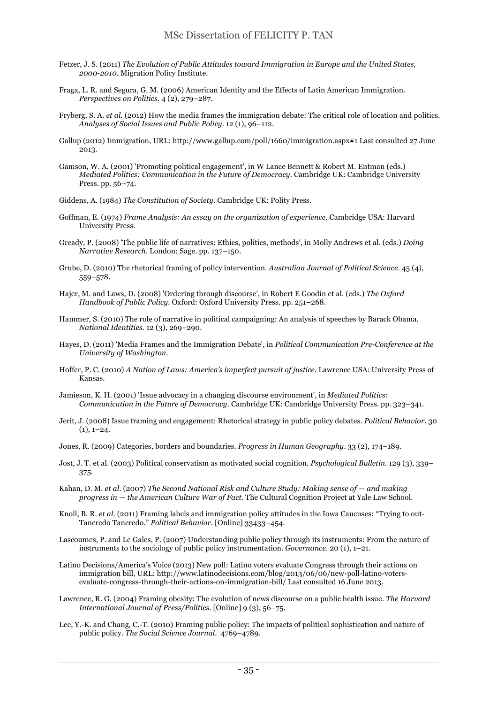- Fetzer, J. S. (2011) *The Evolution of Public Attitudes toward Immigration in Europe and the United States, 2000-2010*. Migration Policy Institute.
- Fraga, L. R. and Segura, G. M. (2006) American Identity and the Effects of Latin American Immigration. *Perspectives on Politics*. 4 (2), 279–287.
- Fryberg, S. A. *et al.* (2012) How the media frames the immigration debate: The critical role of location and politics. *Analyses of Social Issues and Public Policy*. 12 (1), 96–112.
- Gallup (2012) Immigration, URL: http://www.gallup.com/poll/1660/immigration.aspx#1 Last consulted 27 June 2013.
- Gamson, W. A. (2001) 'Promoting political engagement', in W Lance Bennett & Robert M. Entman (eds.) *Mediated Politics: Communication in the Future of Democracy*. Cambridge UK: Cambridge University Press. pp. 56–74.
- Giddens, A. (1984) *The Constitution of Society*. Cambridge UK: Polity Press.
- Goffman, E. (1974) *Frame Analysis: An essay on the organization of experience*. Cambridge USA: Harvard University Press.
- Gready, P. (2008) 'The public life of narratives: Ethics, politics, methods', in Molly Andrews et al. (eds.) *Doing Narrative Research*. London: Sage. pp. 137–150.
- Grube, D. (2010) The rhetorical framing of policy intervention. *Australian Journal of Political Science*. 45 (4), 559–578.
- Hajer, M. and Laws, D. (2008) 'Ordering through discourse', in Robert E Goodin et al. (eds.) *The Oxford Handbook of Public Policy*. Oxford: Oxford University Press. pp. 251–268.
- Hammer, S. (2010) The role of narrative in political campaigning: An analysis of speeches by Barack Obama. *National Identities*. 12 (3), 269–290.
- Hayes, D. (2011) 'Media Frames and the Immigration Debate', in *Political Communication Pre-Conference at the University of Washington*.
- Hoffer, P. C. (2010) *A Nation of Laws: America's imperfect pursuit of justice*. Lawrence USA: University Press of Kansas.
- Jamieson, K. H. (2001) 'Issue advocacy in a changing discourse environment', in *Mediated Politics: Communication in the Future of Democracy*. Cambridge UK: Cambridge University Press. pp. 323–341.
- Jerit, J. (2008) Issue framing and engagement: Rhetorical strategy in public policy debates. *Political Behavior*. 30  $(1), 1-24.$
- Jones, R. (2009) Categories, borders and boundaries. *Progress in Human Geography*. 33 (2), 174–189.
- Jost, J. T. et al. (2003) Political conservatism as motivated social cognition. *Psychological Bulletin*. 129 (3), 339– 375.
- Kahan, D. M. *et al.* (2007) *The Second National Risk and Culture Study: Making sense of — and making progress in — the American Culture War of Fact*. The Cultural Cognition Project at Yale Law School.
- Knoll, B. R. *et al.* (2011) Framing labels and immigration policy attitudes in the Iowa Caucuses: "Trying to out-Tancredo Tancredo." *Political Behavior*. [Online] 33433–454.
- Lascoumes, P. and Le Gales, P. (2007) Understanding public policy through its instruments: From the nature of instruments to the sociology of public policy instrumentation. *Governance*. 20 (1), 1–21.
- Latino Decisions/America's Voice (2013) New poll: Latino voters evaluate Congress through their actions on immigration bill, URL: http://www.latinodecisions.com/blog/2013/06/06/new-poll-latino-votersevaluate-congress-through-their-actions-on-immigration-bill/ Last consulted 16 June 2013.
- Lawrence, R. G. (2004) Framing obesity: The evolution of news discourse on a public health issue. *The Harvard International Journal of Press/Politics*. [Online] 9 (3), 56–75.
- Lee, Y.-K. and Chang, C.-T. (2010) Framing public policy: The impacts of political sophistication and nature of public policy. *The Social Science Journal*. 4769–4789.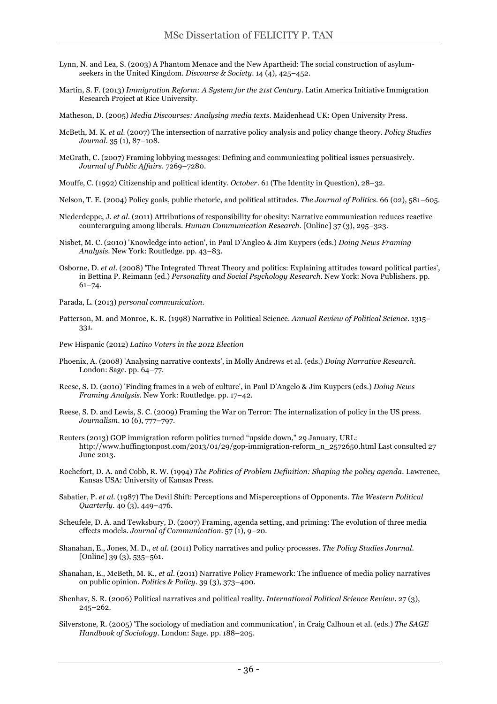- Lynn, N. and Lea, S. (2003) A Phantom Menace and the New Apartheid: The social construction of asylumseekers in the United Kingdom. *Discourse & Society*. 14 (4), 425–452.
- Martin, S. F. (2013) *Immigration Reform: A System for the 21st Century*. Latin America Initiative Immigration Research Project at Rice University.

Matheson, D. (2005) *Media Discourses: Analysing media texts*. Maidenhead UK: Open University Press.

- McBeth, M. K. *et al.* (2007) The intersection of narrative policy analysis and policy change theory. *Policy Studies Journal*. 35 (1), 87–108.
- McGrath, C. (2007) Framing lobbying messages: Defining and communicating political issues persuasively. *Journal of Public Affairs*. 7269–7280.
- Mouffe, C. (1992) Citizenship and political identity. *October*. 61 (The Identity in Question), 28–32.
- Nelson, T. E. (2004) Policy goals, public rhetoric, and political attitudes. *The Journal of Politics*. 66 (02), 581–605.
- Niederdeppe, J. *et al.* (2011) Attributions of responsibility for obesity: Narrative communication reduces reactive counterarguing among liberals. *Human Communication Research*. [Online] 37 (3), 295–323.
- Nisbet, M. C. (2010) 'Knowledge into action', in Paul D'Angleo & Jim Kuypers (eds.) *Doing News Framing Analysis*. New York: Routledge. pp. 43–83.
- Osborne, D. *et al.* (2008) 'The Integrated Threat Theory and politics: Explaining attitudes toward political parties', in Bettina P. Reimann (ed.) *Personality and Social Psychology Research*. New York: Nova Publishers. pp. 61–74.
- Parada, L. (2013) *personal communication*.
- Patterson, M. and Monroe, K. R. (1998) Narrative in Political Science. *Annual Review of Political Science*. 1315– 331.

Pew Hispanic (2012) *Latino Voters in the 2012 Election*

- Phoenix, A. (2008) 'Analysing narrative contexts', in Molly Andrews et al. (eds.) *Doing Narrative Research*. London: Sage. pp. 64–77.
- Reese, S. D. (2010) 'Finding frames in a web of culture', in Paul D'Angelo & Jim Kuypers (eds.) *Doing News Framing Analysis*. New York: Routledge. pp. 17–42.
- Reese, S. D. and Lewis, S. C. (2009) Framing the War on Terror: The internalization of policy in the US press. *Journalism*. 10 (6), 777–797.
- Reuters (2013) GOP immigration reform politics turned "upside down," 29 January, URL: http://www.huffingtonpost.com/2013/01/29/gop-immigration-reform\_n\_2572650.html Last consulted 27 June 2013.
- Rochefort, D. A. and Cobb, R. W. (1994) *The Politics of Problem Definition: Shaping the policy agenda*. Lawrence, Kansas USA: University of Kansas Press.
- Sabatier, P. *et al.* (1987) The Devil Shift: Perceptions and Misperceptions of Opponents. *The Western Political Quarterly*. 40 (3), 449–476.
- Scheufele, D. A. and Tewksbury, D. (2007) Framing, agenda setting, and priming: The evolution of three media effects models. *Journal of Communication*. 57 (1), 9-20.
- Shanahan, E., Jones, M. D., *et al.* (2011) Policy narratives and policy processes. *The Policy Studies Journal*. [Online] 39 (3), 535-561.
- Shanahan, E., McBeth, M. K., *et al.* (2011) Narrative Policy Framework: The influence of media policy narratives on public opinion. *Politics & Policy*. 39 (3), 373–400.
- Shenhav, S. R. (2006) Political narratives and political reality. *International Political Science Review*. 27 (3), 245–262.
- Silverstone, R. (2005) 'The sociology of mediation and communication', in Craig Calhoun et al. (eds.) *The SAGE Handbook of Sociology*. London: Sage. pp. 188–205.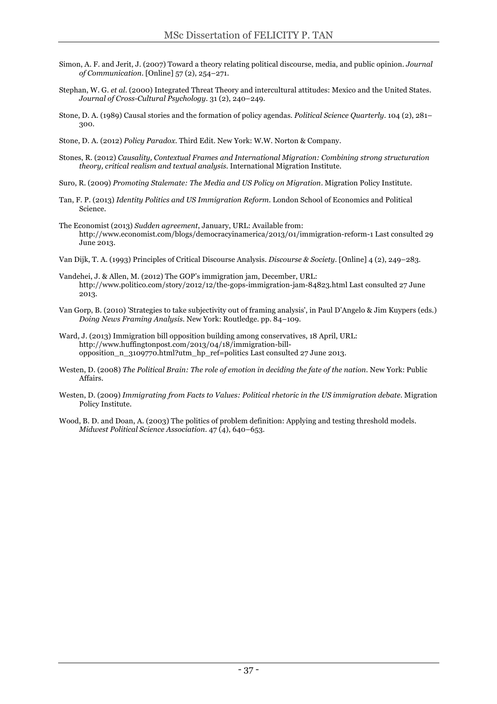- Simon, A. F. and Jerit, J. (2007) Toward a theory relating political discourse, media, and public opinion. *Journal of Communication*. [Online] 57 (2), 254–271.
- Stephan, W. G. *et al.* (2000) Integrated Threat Theory and intercultural attitudes: Mexico and the United States. *Journal of Cross-Cultural Psychology*. 31 (2), 240–249.
- Stone, D. A. (1989) Causal stories and the formation of policy agendas. *Political Science Quarterly*. 104 (2), 281– 300.
- Stone, D. A. (2012) *Policy Paradox*. Third Edit. New York: W.W. Norton & Company.
- Stones, R. (2012) *Causality, Contextual Frames and International Migration: Combining strong structuration theory, critical realism and textual analysis*. International Migration Institute.
- Suro, R. (2009) *Promoting Stalemate: The Media and US Policy on Migration*. Migration Policy Institute.
- Tan, F. P. (2013) *Identity Politics and US Immigration Reform*. London School of Economics and Political Science.
- The Economist (2013) *Sudden agreement*, January, URL: Available from: http://www.economist.com/blogs/democracyinamerica/2013/01/immigration-reform-1 Last consulted 29 June 2013.
- Van Dijk, T. A. (1993) Principles of Critical Discourse Analysis. *Discourse & Society*. [Online] 4 (2), 249–283.
- Vandehei, J. & Allen, M. (2012) The GOP's immigration jam, December, URL: http://www.politico.com/story/2012/12/the-gops-immigration-jam-84823.html Last consulted 27 June 2013.
- Van Gorp, B. (2010) 'Strategies to take subjectivity out of framing analysis', in Paul D'Angelo & Jim Kuypers (eds.) *Doing News Framing Analysis*. New York: Routledge. pp. 84–109.
- Ward, J. (2013) Immigration bill opposition building among conservatives, 18 April, URL: http://www.huffingtonpost.com/2013/04/18/immigration-billopposition\_n\_3109770.html?utm\_hp\_ref=politics Last consulted 27 June 2013.
- Westen, D. (2008) *The Political Brain: The role of emotion in deciding the fate of the nation*. New York: Public Affairs.
- Westen, D. (2009) *Immigrating from Facts to Values: Political rhetoric in the US immigration debate*. Migration Policy Institute.
- Wood, B. D. and Doan, A. (2003) The politics of problem definition: Applying and testing threshold models. *Midwest Political Science Association*. 47 (4), 640–653.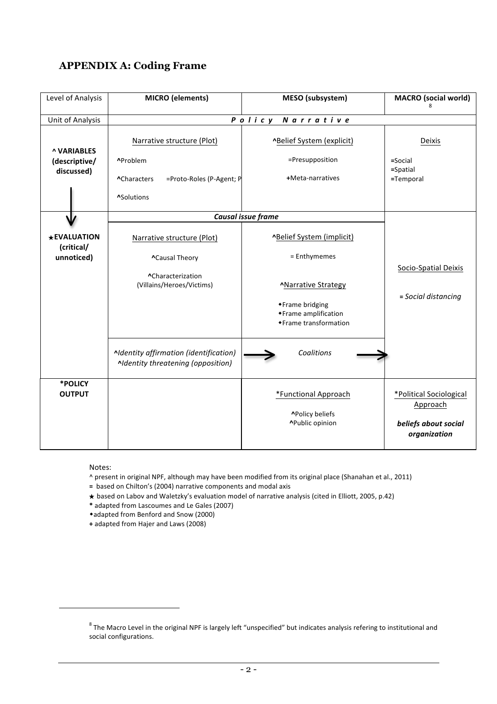## **APPENDIX A: Coding Frame**

| Level of Analysis                                 | <b>MICRO</b> (elements)                                                                         | MESO (subsystem)                                                                                  | <b>MACRO</b> (social world)                                                 |  |  |
|---------------------------------------------------|-------------------------------------------------------------------------------------------------|---------------------------------------------------------------------------------------------------|-----------------------------------------------------------------------------|--|--|
| Unit of Analysis                                  | Policy                                                                                          |                                                                                                   |                                                                             |  |  |
| <b>^ VARIABLES</b><br>(descriptive/<br>discussed) | Narrative structure (Plot)<br>^Problem<br>=Proto-Roles (P-Agent; P<br>^Characters<br>^Solutions | <b>^Belief System (explicit)</b><br>=Presupposition<br>+Meta-narratives                           | Deixis<br>$=$ Social<br>$=$ Spatial<br>=Temporal                            |  |  |
|                                                   | Causal issue frame                                                                              |                                                                                                   |                                                                             |  |  |
| <b>*EVALUATION</b><br>(critical/<br>unnoticed)    | Narrative structure (Plot)<br><b>^Causal Theory</b><br>^Characterization                        | ^Belief System (implicit)<br>= Enthymemes                                                         | Socio-Spatial Deixis<br>= Social distancing                                 |  |  |
|                                                   | (Villains/Heroes/Victims)                                                                       | <b>^Narrative Strategy</b><br>◆ Frame bridging<br>◆ Frame amplification<br>◆ Frame transformation |                                                                             |  |  |
|                                                   | Aldentity affirmation (identification)<br>Aldentity threatening (opposition)                    | Coalitions                                                                                        |                                                                             |  |  |
| *POLICY<br><b>OUTPUT</b>                          |                                                                                                 | *Functional Approach<br>^Policy beliefs<br>^Public opinion                                        | *Political Sociological<br>Approach<br>beliefs about social<br>organization |  |  |

Notes:

 $\overline{a}$ 

^ present in original NPF, although may have been modified from its original place (Shanahan et al., 2011)

- = based on Chilton's (2004) narrative components and modal axis
- ★ based on Labov and Waletzky's evaluation model of narrative analysis (cited in Elliott, 2005, p.42)
- **\*** adapted from Lascoumes and Le Gales (2007)
- \*adapted from Benford and Snow (2000)
- **+** adapted from Hajer and Laws (2008)

 $8$  The Macro Level in the original NPF is largely left "unspecified" but indicates analysis refering to institutional and social configurations.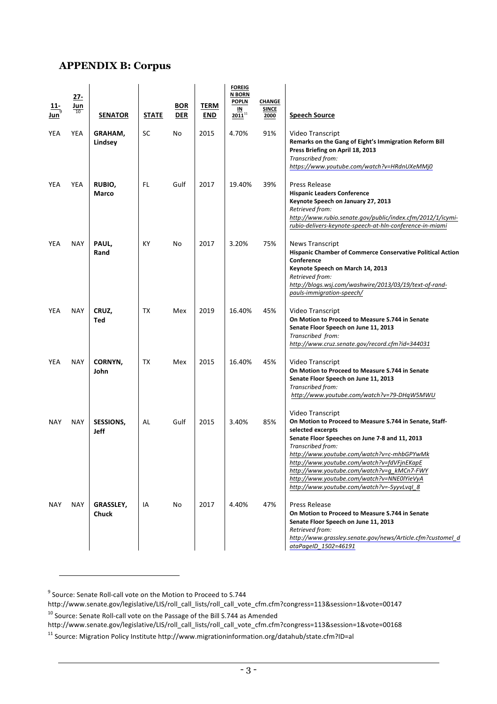## **APPENDIX B: Corpus**

| 11-<br>Jun` | $27 -$<br>Jun<br>10 | <b>SENATOR</b>     | <b>STATE</b> | <b>BOR</b><br><b>DER</b> | <b>TERM</b><br><b>END</b> | <b>FOREIG</b><br><b>N BORN</b><br><b>POPLN</b><br>IN<br>$2011^{11}$ | CHANGE<br><b>SINCE</b><br>2000 | <b>Speech Source</b>                                                                                                                                                                                                                                                                                                                                                                                          |
|-------------|---------------------|--------------------|--------------|--------------------------|---------------------------|---------------------------------------------------------------------|--------------------------------|---------------------------------------------------------------------------------------------------------------------------------------------------------------------------------------------------------------------------------------------------------------------------------------------------------------------------------------------------------------------------------------------------------------|
| YEA         | <b>YEA</b>          | GRAHAM,<br>Lindsey | SC           | No                       | 2015                      | 4.70%                                                               | 91%                            | Video Transcript<br>Remarks on the Gang of Eight's Immigration Reform Bill<br>Press Briefing on April 18, 2013<br>Transcribed from:<br>https://www.youtube.com/watch?v=HRdnUXeMMj0                                                                                                                                                                                                                            |
| YEA         | YEA                 | RUBIO,<br>Marco    | FL.          | Gulf                     | 2017                      | 19.40%                                                              | 39%                            | Press Release<br><b>Hispanic Leaders Conference</b><br>Keynote Speech on January 27, 2013<br>Retrieved from:<br>http://www.rubio.senate.gov/public/index.cfm/2012/1/icymi-<br>rubio-delivers-keynote-speech-at-hln-conference-in-miami                                                                                                                                                                        |
| YEA         | <b>NAY</b>          | PAUL,<br>Rand      | KY           | No                       | 2017                      | 3.20%                                                               | 75%                            | <b>News Transcript</b><br><b>Hispanic Chamber of Commerce Conservative Political Action</b><br>Conference<br>Keynote Speech on March 14, 2013<br>Retrieved from:<br>http://blogs.wsj.com/washwire/2013/03/19/text-of-rand-<br>pauls-immigration-speech/                                                                                                                                                       |
| YEA         | <b>NAY</b>          | CRUZ,<br>Ted       | TX           | Mex                      | 2019                      | 16.40%                                                              | 45%                            | Video Transcript<br>On Motion to Proceed to Measure S.744 in Senate<br>Senate Floor Speech on June 11, 2013<br>Transcribed from:<br>http://www.cruz.senate.gov/record.cfm?id=344031                                                                                                                                                                                                                           |
| YEA         | <b>NAY</b>          | CORNYN,<br>John    | TX           | Mex                      | 2015                      | 16.40%                                                              | 45%                            | Video Transcript<br>On Motion to Proceed to Measure S.744 in Senate<br>Senate Floor Speech on June 11, 2013<br>Transcribed from:<br>http://www.youtube.com/watch?v=79-DHqW5MWU                                                                                                                                                                                                                                |
| <b>NAY</b>  | <b>NAY</b>          | SESSIONS,<br>Jeff  | AL           | Gulf                     | 2015                      | 3.40%                                                               | 85%                            | Video Transcript<br>On Motion to Proceed to Measure S.744 in Senate, Staff-<br>selected excerpts<br>Senate Floor Speeches on June 7-8 and 11, 2013<br>Transcribed from:<br>http://www.youtube.com/watch?v=c-mhbGPYwMk<br>http://www.youtube.com/watch?v=fdVFjnEKapE<br>http://www.youtube.com/watch?v=q kMCn7-FWY<br>http://www.youtube.com/watch?v=NNE0lYieVyA<br>http://www.youtube.com/watch?v=-5yyvLvql_8 |
| NAY         | <b>NAY</b>          | GRASSLEY,<br>Chuck | IA           | No                       | 2017                      | 4.40%                                                               | 47%                            | Press Release<br>On Motion to Proceed to Measure S.744 in Senate<br>Senate Floor Speech on June 11, 2013<br>Retrieved from:<br>http://www.grassley.senate.gov/news/Article.cfm?customel_d<br>ataPageID 1502=46191                                                                                                                                                                                             |

 $9$  Source: Senate Roll-call vote on the Motion to Proceed to S.744

 $\overline{a}$ 

http://www.senate.gov/legislative/LIS/roll\_call\_lists/roll\_call\_vote\_cfm.cfm?congress=113&session=1&vote=00147 <sup>10</sup> Source: Senate Roll-call vote on the Passage of the Bill S.744 as Amended

http://www.senate.gov/legislative/LIS/roll\_call\_lists/roll\_call\_vote\_cfm.cfm?congress=113&session=1&vote=00168

 $11$  Source: Migration Policy Institute http://www.migrationinformation.org/datahub/state.cfm?ID=al